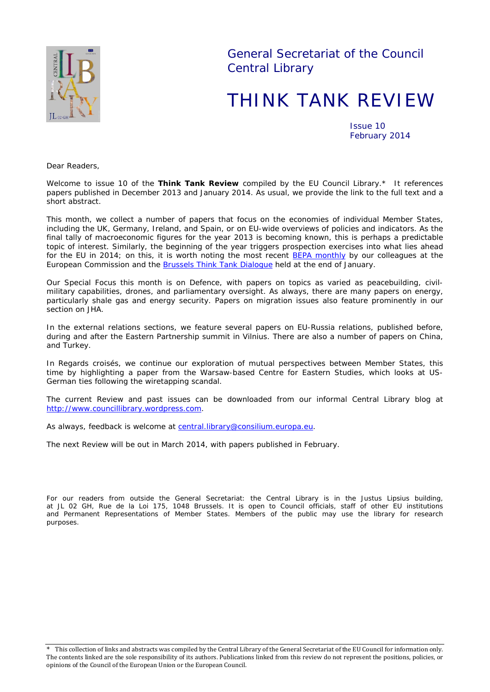

General Secretariat of the Council Central Library

# THINK TANK REVIEW

Issue 10 February 2014

*Dear Readers,*

*Welcome to issue 10 of the Think Tank Review compiled by the EU Council Library.\* It references papers published in December 2013 and January 2014. As usual, we provide the link to the full text and a short abstract.*

*This month, we collect a number of papers that focus on the economies of individual Member States, including the UK, Germany, Ireland, and Spain, or on EU-wide overviews of policies and indicators. As the final tally of macroeconomic figures for the year 2013 is becoming known, this is perhaps a predictable topic of interest. Similarly, the beginning of the year triggers prospection exercises into what lies ahead for the EU in 2014; on this, it is worth noting the most recent [BEPA monthly](http://ec.europa.eu/bepa/pdf/publications_pdf/see_also/n70_dec_2013_january_2014.pdf) by our colleagues at the European Commission and the [Brussels Think Tank Dialogue](http://www.bruegel.org/nc/events/event-detail/event/402-brussels-think-tank-dialogue-the-eus-new-leaders-key-post-election-challenges/) held at the end of January.* 

*Our Special Focus this month is on Defence, with papers on topics as varied as peacebuilding, civilmilitary capabilities, drones, and parliamentary oversight. As always, there are many papers on energy, particularly shale gas and energy security. Papers on migration issues also feature prominently in our section on JHA.*

*In the external relations sections, we feature several papers on EU-Russia relations, published before, during and after the Eastern Partnership summit in Vilnius. There are also a number of papers on China, and Turkey.* 

*In* Regards croisés*, we continue our exploration of mutual perspectives between Member States, this time by highlighting a paper from the Warsaw-based Centre for Eastern Studies, which looks at US-German ties following the wiretapping scandal.*

*The current Review and past issues can be downloaded from our informal Central Library blog at [http://www.councillibrary.wordpress.com.](http://www.councillibrary.wordpress.com/)* 

*As always, feedback is welcome at* central.library@consilium.europa.eu.

*The next Review will be out in March 2014, with papers published in February.*

*For our readers from outside the General Secretariat: the Central Library is in the Justus Lipsius building, at JL 02 GH, Rue de la Loi 175, 1048 Brussels. It is open to Council officials, staff of other EU institutions and Permanent Representations of Member States. Members of the public may use the library for research purposes.*

<sup>\*</sup> This collection of links and abstracts was compiled by the Central Library of the General Secretariat of the EU Council for information only. The contents linked are the sole responsibility of its authors. Publications linked from this review do not represent the positions, policies, or opinions of the Council of the European Union or the European Council.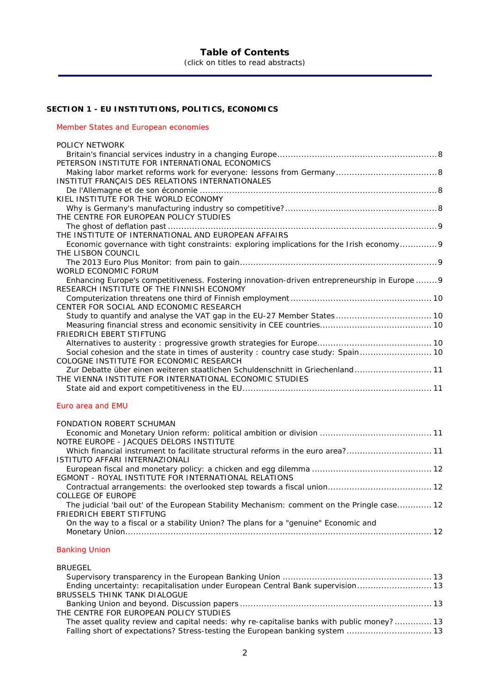# **SECTION 1 - [EU INSTITUTIONS, POLITICS, ECONOMICS](#page-7-0)**

#### [Member States and European economies](#page-7-1)

| POLICY NETWORK                                                                                |  |
|-----------------------------------------------------------------------------------------------|--|
|                                                                                               |  |
| PETERSON INSTITUTE FOR INTERNATIONAL ECONOMICS                                                |  |
|                                                                                               |  |
| INSTITUT FRANÇAIS DES RELATIONS INTERNATIONALES                                               |  |
|                                                                                               |  |
| KIEL INSTITUTE FOR THE WORLD ECONOMY                                                          |  |
|                                                                                               |  |
|                                                                                               |  |
| THE CENTRE FOR EUROPEAN POLICY STUDIES                                                        |  |
|                                                                                               |  |
| THE INSTITUTE OF INTERNATIONAL AND EUROPEAN AFFAIRS                                           |  |
| Economic governance with tight constraints: exploring implications for the Irish economy 9    |  |
| THE LISBON COUNCIL                                                                            |  |
|                                                                                               |  |
| WORLD FCONOMIC FORUM                                                                          |  |
| Enhancing Europe's competitiveness. Fostering innovation-driven entrepreneurship in Europe  9 |  |
| RESEARCH INSTITUTE OF THE FINNISH ECONOMY                                                     |  |
|                                                                                               |  |
| CENTER FOR SOCIAL AND ECONOMIC RESEARCH                                                       |  |
|                                                                                               |  |
|                                                                                               |  |
| <b>FRIEDRICH EBERT STIFTUNG</b>                                                               |  |
|                                                                                               |  |
| Social cohesion and the state in times of austerity : country case study: Spain 10            |  |
| COLOGNE INSTITUTE FOR ECONOMIC RESEARCH                                                       |  |
| Zur Debatte über einen weiteren staatlichen Schuldenschnitt in Griechenland 11                |  |
| THE VIENNA INSTITUTE FOR INTERNATIONAL ECONOMIC STUDIES                                       |  |
|                                                                                               |  |
|                                                                                               |  |

#### [Euro area and EMU](#page-10-4)

| <b>FONDATION ROBERT SCHUMAN</b>                                                             |
|---------------------------------------------------------------------------------------------|
|                                                                                             |
| NOTRE EUROPE - JACOUES DELORS INSTITUTE                                                     |
|                                                                                             |
| ISTITUTO AFFARI INTERNAZIONALI                                                              |
|                                                                                             |
| EGMONT - ROYAL INSTITUTE FOR INTERNATIONAL RELATIONS                                        |
|                                                                                             |
| <b>COLLEGE OF EUROPE</b>                                                                    |
| The judicial 'bail out' of the European Stability Mechanism: comment on the Pringle case 12 |
| FRIEDRICH EBERT STIFTUNG                                                                    |
| On the way to a fiscal or a stability Union? The plans for a "genuine" Economic and         |
|                                                                                             |
|                                                                                             |

### [Banking Union](#page-12-0)

| <b>BRUEGEL</b>                                                                            |  |
|-------------------------------------------------------------------------------------------|--|
|                                                                                           |  |
| Ending uncertainty: recapitalisation under European Central Bank supervision 13           |  |
| BRUSSELS THINK TANK DIALOGUE                                                              |  |
|                                                                                           |  |
| THE CENTRE FOR EUROPEAN POLICY STUDIES                                                    |  |
| The asset quality review and capital needs: why re-capitalise banks with public money? 13 |  |
| Falling short of expectations? Stress-testing the European banking system  13             |  |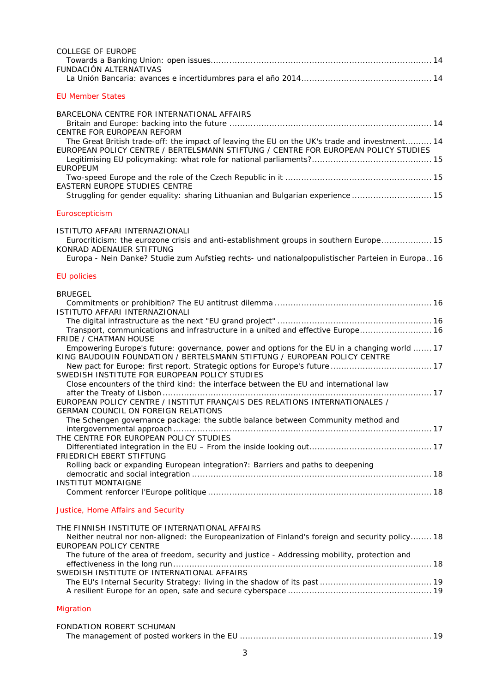| <b>COLLEGE OF EUROPE</b>                                                                                                                                                                               |
|--------------------------------------------------------------------------------------------------------------------------------------------------------------------------------------------------------|
| <b>FUNDACIÓN ALTERNATIVAS</b>                                                                                                                                                                          |
| <b>EU Member States</b>                                                                                                                                                                                |
| BARCELONA CENTRE FOR INTERNATIONAL AFFAIRS                                                                                                                                                             |
| CENTRE FOR EUROPEAN REFORM                                                                                                                                                                             |
| The Great British trade-off: the impact of leaving the EU on the UK's trade and investment 14<br>EUROPEAN POLICY CENTRE / BERTELSMANN STIFTUNG / CENTRE FOR EUROPEAN POLICY STUDIES<br><b>EUROPEUM</b> |
| EASTERN EUROPE STUDIES CENTRE                                                                                                                                                                          |
| Struggling for gender equality: sharing Lithuanian and Bulgarian experience  15                                                                                                                        |
| Euroscepticism                                                                                                                                                                                         |
| ISTITUTO AFFARI INTERNAZIONALI<br>Eurocriticism: the eurozone crisis and anti-establishment groups in southern Europe 15<br>KONRAD ADENAUER STIFTUNG                                                   |
| Europa - Nein Danke? Studie zum Aufstieg rechts- und nationalpopulistischer Parteien in Europa 16                                                                                                      |
| <b>EU policies</b>                                                                                                                                                                                     |
| <b>BRUEGEL</b>                                                                                                                                                                                         |
| ISTITUTO AFFARI INTERNAZIONALI                                                                                                                                                                         |
| Transport, communications and infrastructure in a united and effective Europe 16                                                                                                                       |
| <b>FRIDE / CHATMAN HOUSE</b><br>Empowering Europe's future: governance, power and options for the EU in a changing world  17                                                                           |
| KING BAUDOUIN FOUNDATION / BERTELSMANN STIFTUNG / EUROPEAN POLICY CENTRE                                                                                                                               |
| SWEDISH INSTITUTE FOR EUROPEAN POLICY STUDIES                                                                                                                                                          |
| Close encounters of the third kind: the interface between the EU and international law                                                                                                                 |
| EUROPEAN POLICY CENTRE / INSTITUT FRANÇAIS DES RELATIONS INTERNATIONALES /                                                                                                                             |
| GERMAN COUNCIL ON FOREIGN RELATIONS<br>The Schengen governance package: the subtle balance between Community method and                                                                                |
|                                                                                                                                                                                                        |
| THE CENTRE FOR EUROPEAN POLICY STUDIES                                                                                                                                                                 |
| <b>FRIEDRICH EBERT STIFTUNG</b><br>Rolling back or expanding European integration?: Barriers and paths to deepening                                                                                    |
|                                                                                                                                                                                                        |
| <b>INSTITUT MONTAIGNE</b>                                                                                                                                                                              |
| Justice, Home Affairs and Security                                                                                                                                                                     |
| THE FINNISH INSTITUTE OF INTERNATIONAL AFFAIRS                                                                                                                                                         |
| Neither neutral nor non-aligned: the Europeanization of Finland's foreign and security policy 18<br>EUROPEAN POLICY CENTRE                                                                             |
| The future of the area of freedom, security and justice - Addressing mobility, protection and                                                                                                          |
| SWEDISH INSTITUTE OF INTERNATIONAL AFFAIRS                                                                                                                                                             |

| Migration |  |
|-----------|--|

| FONDATION ROBERT SCHUMAN |  |
|--------------------------|--|
|                          |  |

[The EU's Internal Security Strategy: living in the shadow of its past](#page-18-1) .......................................... 19 [A resilient Europe for an open, safe and secure cyberspace](#page-18-2) ...................................................... 19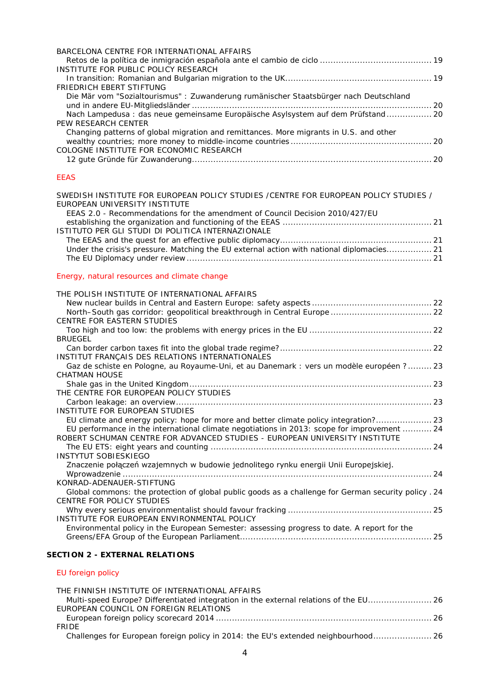| BARCELONA CENTRE FOR INTERNATIONAL AFFAIRS                                             |  |
|----------------------------------------------------------------------------------------|--|
|                                                                                        |  |
| INSTITUTE FOR PUBLIC POLICY RESEARCH                                                   |  |
|                                                                                        |  |
| FRIEDRICH EBERT STIFTUNG                                                               |  |
| Die Mär vom "Sozialtourismus": Zuwanderung rumänischer Staatsbürger nach Deutschland   |  |
|                                                                                        |  |
| Nach Lampedusa : das neue gemeinsame Europäische Asylsystem auf dem Prüfstand 20       |  |
| PEW RESEARCH CENTER                                                                    |  |
| Changing patterns of global migration and remittances. More migrants in U.S. and other |  |
|                                                                                        |  |
| COLOGNE INSTITUTE FOR ECONOMIC RESEARCH                                                |  |
|                                                                                        |  |

#### [EEAS](#page-20-0)

| SWEDISH INSTITUTE FOR EUROPEAN POLICY STUDIES /CENTRE FOR EUROPEAN POLICY STUDIES /         |  |
|---------------------------------------------------------------------------------------------|--|
| EUROPEAN UNIVERSITY INSTITUTE                                                               |  |
| EEAS 2.0 - Recommendations for the amendment of Council Decision 2010/427/EU                |  |
|                                                                                             |  |
| ISTITUTO PER GLI STUDI DI POLITICA INTERNAZIONALE                                           |  |
|                                                                                             |  |
| Under the crisis's pressure. Matching the EU external action with national diplomacies 21   |  |
|                                                                                             |  |
| Energy, natural resources and climate change                                                |  |
| THE POLISH INSTITUTE OF INTERNATIONAL AFFAIRS                                               |  |
|                                                                                             |  |
|                                                                                             |  |
| <b>CENTRE FOR EASTERN STUDIES</b>                                                           |  |
|                                                                                             |  |
| <b>BRUEGEL</b>                                                                              |  |
|                                                                                             |  |
| INSTITUT FRANÇAIS DES RELATIONS INTERNATIONALES                                             |  |
| Gaz de schiste en Pologne, au Royaume-Uni, et au Danemark : vers un modèle européen ? 23    |  |
| CHATMAN HOUSE                                                                               |  |
|                                                                                             |  |
| THE CENTRE FOR EUROPEAN POLICY STUDIES                                                      |  |
|                                                                                             |  |
| INSTITUTE FOR EUROPEAN STUDIES                                                              |  |
| EU climate and energy policy: hope for more and better climate policy integration? 23       |  |
| EU performance in the international climate negotiations in 2013: scope for improvement  24 |  |

[ROBERT SCHUMAN CENTRE FOR ADVANCED STUDIES -](#page-23-1) EUROPEAN UNIVERSITY INSTITUTE

[Znaczenie połączeń wzajemnych w budowie jednolitego rynku energii Unii Europejskiej.](#page-23-4) 

The EU ETS: eight years and counting [...................................................................................](#page-23-2) 24

Wprowadzenie [....................................................................................................................](#page-23-4) 24

[Global commons: the protection of global public goods as a challenge for German security policy](#page-23-6) . 24

[Why every serious environmentalist should favour fracking](#page-24-1) ...................................................... 25

[Greens/EFA Group of the European Parliament........................................................................](#page-24-3) 25

[Environmental policy in the European Semester: assessing progress to date. A report for the](#page-24-3) 

#### **SECTION 2 - [EXTERNAL RELATIONS](#page-25-0)**

[INSTITUTE FOR EUROPEAN ENVIRONMENTAL POLICY](#page-24-2)

[INSTYTUT SOBIESKIEGO](#page-23-3)

[KONRAD-ADENAUER-STIFTUNG](#page-23-5)

[CENTRE FOR POLICY STUDIES](#page-24-0)

#### [EU foreign policy](#page-25-1)

| THE FINNISH INSTITUTE OF INTERNATIONAL AFFAIRS                                     |
|------------------------------------------------------------------------------------|
|                                                                                    |
| EUROPEAN COUNCIL ON FOREIGN RELATIONS                                              |
|                                                                                    |
| <b>FRIDE</b>                                                                       |
| Challenges for European foreign policy in 2014: the EU's extended neighbourhood 26 |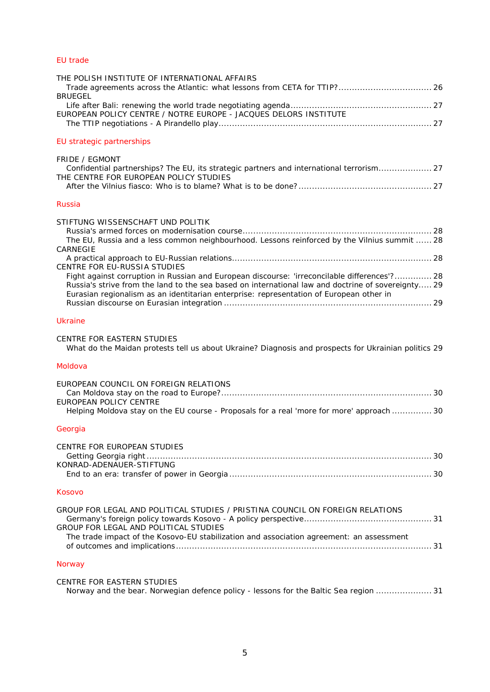# [EU trade](#page-25-8)

| THE POLISH INSTITUTE OF INTERNATIONAL AFFAIRS<br>Trade agreements across the Atlantic: what lessons from CETA for TTIP? 26<br><b>BRUEGEL</b>                                                                                                                                                                                  |
|-------------------------------------------------------------------------------------------------------------------------------------------------------------------------------------------------------------------------------------------------------------------------------------------------------------------------------|
| EUROPEAN POLICY CENTRE / NOTRE EUROPE - JACQUES DELORS INSTITUTE                                                                                                                                                                                                                                                              |
| EU strategic partnerships                                                                                                                                                                                                                                                                                                     |
| <b>FRIDE / EGMONT</b><br>Confidential partnerships? The EU, its strategic partners and international terrorism 27<br>THE CENTRE FOR EUROPEAN POLICY STUDIES                                                                                                                                                                   |
| <b>Russia</b>                                                                                                                                                                                                                                                                                                                 |
| STIFTUNG WISSENSCHAFT UND POLITIK<br>The EU, Russia and a less common neighbourhood. Lessons reinforced by the Vilnius summit  28<br>CARNEGIE                                                                                                                                                                                 |
| CENTRE FOR EU-RUSSIA STUDIES<br>Fight against corruption in Russian and European discourse: 'irreconcilable differences'? 28<br>Russia's strive from the land to the sea based on international law and doctrine of sovereignty 29<br>Eurasian regionalism as an identitarian enterprise: representation of European other in |
| Ukraine                                                                                                                                                                                                                                                                                                                       |
| CENTRE FOR EASTERN STUDIES<br>What do the Maidan protests tell us about Ukraine? Diagnosis and prospects for Ukrainian politics 29                                                                                                                                                                                            |
| Moldova                                                                                                                                                                                                                                                                                                                       |
| EUROPEAN COUNCIL ON FOREIGN RELATIONS<br>EUROPEAN POLICY CENTRE<br>Helping Moldova stay on the EU course - Proposals for a real 'more for more' approach  30                                                                                                                                                                  |
| Georgia                                                                                                                                                                                                                                                                                                                       |
| CENTRE FOR EUROPEAN STUDIES<br>KONRAD-ADENAUER-STIFTUNG                                                                                                                                                                                                                                                                       |
| Kosovo                                                                                                                                                                                                                                                                                                                        |
| GROUP FOR LEGAL AND POLITICAL STUDIES / PRISTINA COUNCIL ON FOREIGN RELATIONS<br>GROUP FOR LEGAL AND POLITICAL STUDIES<br>The trade impact of the Kosovo-EU stabilization and association agreement: an assessment                                                                                                            |
| <b>Norway</b>                                                                                                                                                                                                                                                                                                                 |
| <b>CENTRE FOR EASTERN STUDIES</b><br>Norway and the bear. Norwegian defence policy - lessons for the Baltic Sea region  31                                                                                                                                                                                                    |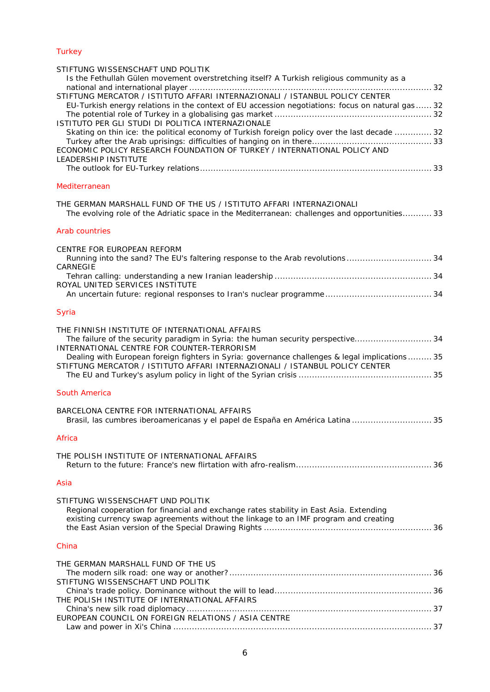# **[Turkey](#page-31-0)**

| STIFTUNG WISSENSCHAFT UND POLITIK<br>Is the Fethullah Gülen movement overstretching itself? A Turkish religious community as a                                                                                       |  |
|----------------------------------------------------------------------------------------------------------------------------------------------------------------------------------------------------------------------|--|
|                                                                                                                                                                                                                      |  |
| STIFTUNG MERCATOR / ISTITUTO AFFARI INTERNAZIONALI / ISTANBUL POLICY CENTER<br>EU-Turkish energy relations in the context of EU accession negotiations: focus on natural gas  32                                     |  |
| ISTITUTO PER GLI STUDI DI POLITICA INTERNAZIONALE                                                                                                                                                                    |  |
| Skating on thin ice: the political economy of Turkish foreign policy over the last decade  32<br>ECONOMIC POLICY RESEARCH FOUNDATION OF TURKEY / INTERNATIONAL POLICY AND                                            |  |
| <b>LEADERSHIP INSTITUTE</b>                                                                                                                                                                                          |  |
| Mediterranean                                                                                                                                                                                                        |  |
| THE GERMAN MARSHALL FUND OF THE US / ISTITUTO AFFARI INTERNAZIONALI<br>The evolving role of the Adriatic space in the Mediterranean: challenges and opportunities 33                                                 |  |
| <b>Arab countries</b>                                                                                                                                                                                                |  |
| CENTRE FOR EUROPEAN REFORM                                                                                                                                                                                           |  |
| Running into the sand? The EU's faltering response to the Arab revolutions 34<br>CARNEGIE                                                                                                                            |  |
| ROYAL UNITED SERVICES INSTITUTE                                                                                                                                                                                      |  |
|                                                                                                                                                                                                                      |  |
| Syria                                                                                                                                                                                                                |  |
| THE FINNISH INSTITUTE OF INTERNATIONAL AFFAIRS<br>The failure of the security paradigm in Syria: the human security perspective 34<br>INTERNATIONAL CENTRE FOR COUNTER-TERRORISM                                     |  |
| Dealing with European foreign fighters in Syria: governance challenges & legal implications 35<br>STIFTUNG MERCATOR / ISTITUTO AFFARI INTERNAZIONALI / ISTANBUL POLICY CENTER                                        |  |
| South America                                                                                                                                                                                                        |  |
| BARCELONA CENTRE FOR INTERNATIONAL AFFAIRS<br>Brasil, las cumbres iberoamericanas y el papel de España en América Latina  35                                                                                         |  |
| Africa                                                                                                                                                                                                               |  |
| THE POLISH INSTITUTE OF INTERNATIONAL AFFAIRS                                                                                                                                                                        |  |
| Asia                                                                                                                                                                                                                 |  |
| STIFTUNG WISSENSCHAFT UND POLITIK<br>Regional cooperation for financial and exchange rates stability in East Asia. Extending<br>existing currency swap agreements without the linkage to an IMF program and creating |  |
| China                                                                                                                                                                                                                |  |
| THE GERMAN MARSHALL FUND OF THE US                                                                                                                                                                                   |  |
| STIFTUNG WISSENSCHAFT UND POLITIK                                                                                                                                                                                    |  |
| THE POLISH INSTITUTE OF INTERNATIONAL AFFAIRS                                                                                                                                                                        |  |
| EUROPEAN COUNCIL ON FOREIGN RELATIONS / ASIA CENTRE                                                                                                                                                                  |  |
|                                                                                                                                                                                                                      |  |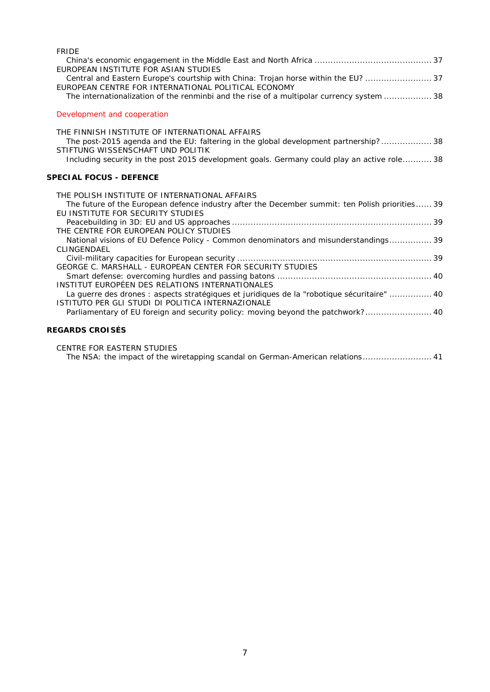| <b>FRIDE</b>                                                                                                                                     |
|--------------------------------------------------------------------------------------------------------------------------------------------------|
|                                                                                                                                                  |
| EUROPEAN INSTITUTE FOR ASIAN STUDIES                                                                                                             |
| Central and Eastern Europe's courtship with China: Trojan horse within the EU?  37<br>EUROPEAN CENTRE FOR INTERNATIONAL POLITICAL ECONOMY        |
| The internationalization of the renminbi and the rise of a multipolar currency system  38                                                        |
|                                                                                                                                                  |
| Development and cooperation                                                                                                                      |
| THE FINNISH INSTITUTE OF INTERNATIONAL AFFAIRS                                                                                                   |
| The post-2015 agenda and the EU: faltering in the global development partnership?38                                                              |
| STIFTUNG WISSENSCHAFT UND POLITIK                                                                                                                |
| Including security in the post 2015 development goals. Germany could play an active role 38                                                      |
|                                                                                                                                                  |
| <b>SPECIAL FOCUS - DEFENCE</b>                                                                                                                   |
|                                                                                                                                                  |
|                                                                                                                                                  |
| THE POLISH INSTITUTE OF INTERNATIONAL AFFAIRS                                                                                                    |
| The future of the European defence industry after the December summit: ten Polish priorities 39<br>EU INSTITUTE FOR SECURITY STUDIES             |
|                                                                                                                                                  |
| THE CENTRE FOR EUROPEAN POLICY STUDIES                                                                                                           |
| National visions of EU Defence Policy - Common denominators and misunderstandings 39                                                             |
| CLINGENDAEL                                                                                                                                      |
|                                                                                                                                                  |
| GEORGE C. MARSHALL - EUROPEAN CENTER FOR SECURITY STUDIES                                                                                        |
|                                                                                                                                                  |
| INSTITUT EUROPÉEN DES RELATIONS INTERNATIONALES                                                                                                  |
| La guerre des drones : aspects stratégiques et juridiques de la "robotique sécuritaire"  40<br>ISTITUTO PER GLI STUDI DI POLITICA INTERNAZIONALE |
|                                                                                                                                                  |
| Parliamentary of EU foreign and security policy: moving beyond the patchwork? 40                                                                 |

# **[REGARDS CROISÉS](#page-40-0)**

[CENTRE FOR EASTERN STUDIES](#page-40-1)

[The NSA: the impact of the wiretapping scandal on German-American relations..........................](#page-40-2) 41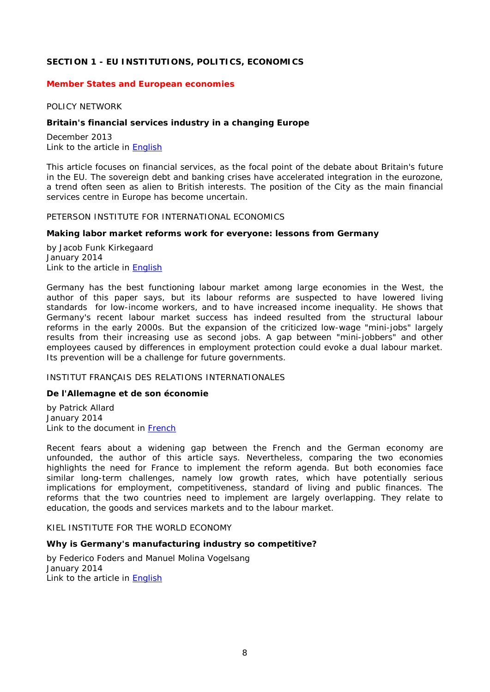# <span id="page-7-0"></span>**SECTION 1 - EU INSTITUTIONS, POLITICS, ECONOMICS**

#### <span id="page-7-2"></span><span id="page-7-1"></span>*Member States and European economies*

#### POLICY NETWORK

#### <span id="page-7-3"></span>**Britain's financial services industry in a changing Europe**

December 2013 Link to the article in [English](http://www.policy-network.net/publications_detail.aspx?ID=4542)

This article focuses on financial services, as the focal point of the debate about Britain's future in the EU. The sovereign debt and banking crises have accelerated integration in the eurozone, a trend often seen as alien to British interests. The position of the City as the main financial services centre in Europe has become uncertain.

#### <span id="page-7-4"></span>PETERSON INSTITUTE FOR INTERNATIONAL ECONOMICS

#### <span id="page-7-5"></span>**Making labor market reforms work for everyone: lessons from Germany**

by Jacob Funk Kirkegaard January 2014 Link to the article in [English](http://www.iie.com/publications/pb/pb14-1.pdf)

Germany has the best functioning labour market among large economies in the West, the author of this paper says, but its labour reforms are suspected to have lowered living standards for low-income workers, and to have increased income inequality. He shows that Germany's recent labour market success has indeed resulted from the structural labour reforms in the early 2000s. But the expansion of the criticized low-wage "mini-jobs" largely results from their increasing use as second jobs. A gap between "mini-jobbers" and other employees caused by differences in employment protection could evoke a dual labour market. Its prevention will be a challenge for future governments.

### <span id="page-7-6"></span>INSTITUT FRANÇAIS DES RELATIONS INTERNATIONALES

#### <span id="page-7-7"></span>**De l'Allemagne et de son économie**

by Patrick Allard January 2014 Link to the document in [French](http://www.ifri.org/downloads/noteducerfa108pallard.pdf)

Recent fears about a widening gap between the French and the German economy are unfounded, the author of this article says. Nevertheless, comparing the two economies highlights the need for France to implement the reform agenda. But both economies face similar long-term challenges, namely low growth rates, which have potentially serious implications for employment, competitiveness, standard of living and public finances. The reforms that the two countries need to implement are largely overlapping. They relate to education, the goods and services markets and to the labour market.

<span id="page-7-8"></span>KIEL INSTITUTE FOR THE WORLD ECONOMY

#### <span id="page-7-9"></span>**Why is Germany's manufacturing industry so competitive?**

by Federico Foders and Manuel Molina Vogelsang January 2014 Link to the article in [English](http://www.ifw-kiel.de/wirtschaftspolitik/politikberatung/kiel-policy-brief/KPB_69.pdf)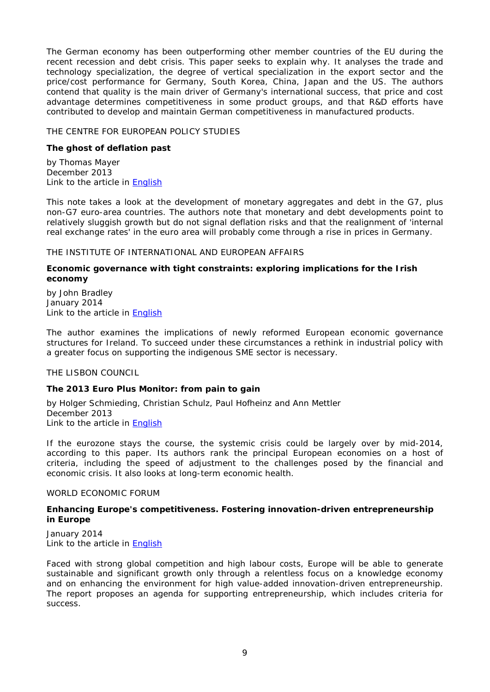The German economy has been outperforming other member countries of the EU during the recent recession and debt crisis. This paper seeks to explain why. It analyses the trade and technology specialization, the degree of vertical specialization in the export sector and the price/cost performance for Germany, South Korea, China, Japan and the US. The authors contend that quality is the main driver of Germany's international success, that price and cost advantage determines competitiveness in some product groups, and that R&D efforts have contributed to develop and maintain German competitiveness in manufactured products.

### <span id="page-8-0"></span>THE CENTRE FOR EUROPEAN POLICY STUDIES

# <span id="page-8-1"></span>**The ghost of deflation past**

by Thomas Mayer December 2013 Link to the article in [English](http://www.ceps.be/ceps/dld/8757/pdf)

This note takes a look at the development of monetary aggregates and debt in the G7, plus non-G7 euro-area countries. The authors note that monetary and debt developments point to relatively sluggish growth but do not signal deflation risks and that the realignment of 'internal real exchange rates' in the euro area will probably come through a rise in prices in Germany.

### <span id="page-8-2"></span>THE INSTITUTE OF INTERNATIONAL AND EUROPEAN AFFAIRS

# <span id="page-8-3"></span>**Economic governance with tight constraints: exploring implications for the Irish economy**

by John Bradley January 2014 Link to the article in [English](http://www.iiea.com/ftp/Publications/2014/IIEA%20Economic%20Governance%20Paper%207%20-%20Jan%202014.pdf)

The author examines the implications of newly reformed European economic governance structures for Ireland. To succeed under these circumstances a rethink in industrial policy with a greater focus on supporting the indigenous SME sector is necessary.

<span id="page-8-4"></span>THE LISBON COUNCIL

# <span id="page-8-5"></span>**The 2013 Euro Plus Monitor: from pain to gain**

by Holger Schmieding, Christian Schulz, Paul Hofheinz and Ann Mettler December 2013 Link to the article in [English](http://www.lisboncouncil.net/index.php?option=com_downloads&id=932)

If the eurozone stays the course, the systemic crisis could be largely over by mid-2014, according to this paper. Its authors rank the principal European economies on a host of criteria, including the speed of adjustment to the challenges posed by the financial and economic crisis. It also looks at long-term economic health.

### <span id="page-8-6"></span>WORLD ECONOMIC FORUM

### <span id="page-8-7"></span>**Enhancing Europe's competitiveness. Fostering innovation-driven entrepreneurship in Europe**

January 2014 Link to the article in **English** 

Faced with strong global competition and high labour costs, Europe will be able to generate sustainable and significant growth only through a relentless focus on a knowledge economy and on enhancing the environment for high value-added innovation-driven entrepreneurship. The report proposes an agenda for supporting entrepreneurship, which includes criteria for success.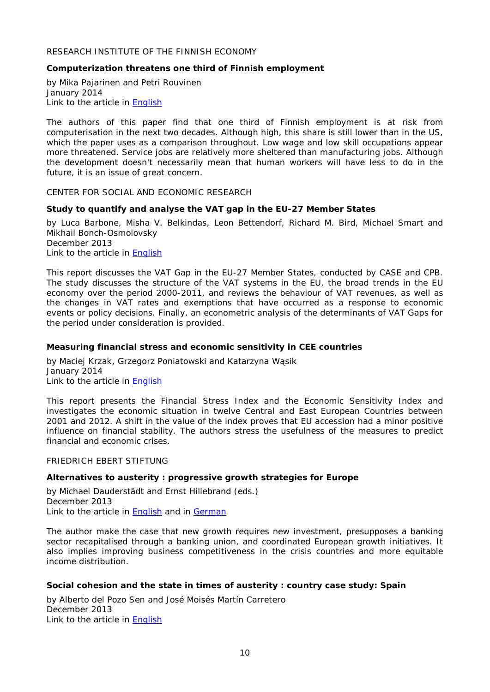# <span id="page-9-0"></span>RESEARCH INSTITUTE OF THE FINNISH ECONOMY

### <span id="page-9-1"></span>**Computerization threatens one third of Finnish employment**

by Mika Pajarinen and Petri Rouvinen January 2014 Link to the article in **English** 

The authors of this paper find that one third of Finnish employment is at risk from computerisation in the next two decades. Although high, this share is still lower than in the US, which the paper uses as a comparison throughout. Low wage and low skill occupations appear more threatened. Service jobs are relatively more sheltered than manufacturing jobs. Although the development doesn't necessarily mean that human workers will have less to do in the future, it is an issue of great concern.

<span id="page-9-2"></span>CENTER FOR SOCIAL AND ECONOMIC RESEARCH

#### <span id="page-9-3"></span>**Study to quantify and analyse the VAT gap in the EU-27 Member States**

by Luca Barbone, Misha V. Belkindas, Leon Bettendorf, Richard M. Bird, Michael Smart and Mikhail Bonch-Osmolovsky December 2013

Link to the article in [English](http://www.case-research.eu/sites/default/files/publications/CNR_2013_116.pdf)

This report discusses the VAT Gap in the EU-27 Member States, conducted by CASE and CPB. The study discusses the structure of the VAT systems in the EU, the broad trends in the EU economy over the period 2000-2011, and reviews the behaviour of VAT revenues, as well as the changes in VAT rates and exemptions that have occurred as a response to economic events or policy decisions. Finally, an econometric analysis of the determinants of VAT Gaps for the period under consideration is provided.

### <span id="page-9-4"></span>**Measuring financial stress and economic sensitivity in CEE countries**

by Maciej Krzak, Grzegorz Poniatowski and Katarzyna Wąsik January 2014 Link to the article in [English](http://www.case-research.eu/sites/default/files/publications/CNR_117.pdf)

This report presents the Financial Stress Index and the Economic Sensitivity Index and investigates the economic situation in twelve Central and East European Countries between 2001 and 2012. A shift in the value of the index proves that EU accession had a minor positive influence on financial stability. The authors stress the usefulness of the measures to predict financial and economic crises.

#### <span id="page-9-5"></span>FRIEDRICH EBERT STIFTUNG

#### <span id="page-9-6"></span>**Alternatives to austerity : progressive growth strategies for Europe**

by Michael Dauderstädt and Ernst Hillebrand (eds.) December 2013 Link to the article in [English](http://library.fes.de/pdf-files/id/ipa/10410.pdf) and in [German](http://library.fes.de/pdf-files/id/ipa/10409.pdf)

The author make the case that new growth requires new investment, presupposes a banking sector recapitalised through a banking union, and coordinated European growth initiatives. It also implies improving business competitiveness in the crisis countries and more equitable income distribution.

#### <span id="page-9-7"></span>**Social cohesion and the state in times of austerity : country case study: Spain**

by Alberto del Pozo Sen and José Moisés Martín Carretero December 2013 Link to the article in [English](http://library.fes.de/pdf-files/id/10453.pdf)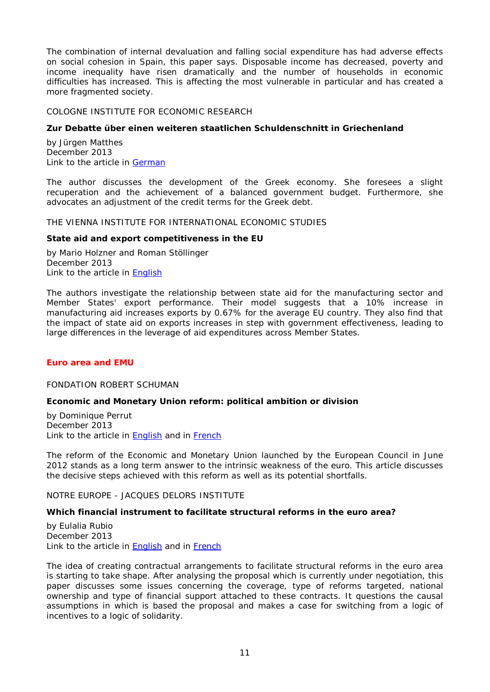The combination of internal devaluation and falling social expenditure has had adverse effects on social cohesion in Spain, this paper says. Disposable income has decreased, poverty and income inequality have risen dramatically and the number of households in economic difficulties has increased. This is affecting the most vulnerable in particular and has created a more fragmented society.

### <span id="page-10-0"></span>COLOGNE INSTITUTE FOR ECONOMIC RESEARCH

### <span id="page-10-1"></span>**Zur Debatte über einen weiteren staatlichen Schuldenschnitt in Griechenland**

by Jürgen Matthes December 2013 Link to the article in [German](http://www.etracker.de/lnkcnt.php?et=lKbSM9&url=http%3A%2F%2Fwww.iwkoeln.de%2F_storage%2Fasset%2F139101%2Fstorage%2Fmaster%2Ffile%2F3893167%2Fdownload%2FPolicy%2520Paper%252021_2013%2520Griechenland%2520drittes%2520Hilfspaket%2520und%2520Schuldenschnitt.pdf&lnkname=Policy%20Paper%2021_2013%20Griechenland%20drittes%20Hilfspaket%20und%20Schuldenschnitt.pdf)

The author discusses the development of the Greek economy. She foresees a slight recuperation and the achievement of a balanced government budget. Furthermore, she advocates an adjustment of the credit terms for the Greek debt.

#### <span id="page-10-2"></span>THE VIENNA INSTITUTE FOR INTERNATIONAL ECONOMIC STUDIES

#### <span id="page-10-3"></span>**State aid and export competitiveness in the EU**

by Mario Holzner and Roman Stöllinger December 2013 Link to the article in **English** 

The authors investigate the relationship between state aid for the manufacturing sector and Member States' export performance. Their model suggests that a 10% increase in manufacturing aid increases exports by 0.67% for the average EU country. They also find that the impact of state aid on exports increases in step with government effectiveness, leading to large differences in the leverage of aid expenditures across Member States.

### <span id="page-10-5"></span><span id="page-10-4"></span>*Euro area and EMU*

#### FONDATION ROBERT SCHUMAN

### <span id="page-10-6"></span>**Economic and Monetary Union reform: political ambition or division**

by Dominique Perrut December 2013 Link to the article in **English** and in **French** 

The reform of the Economic and Monetary Union launched by the European Council in June 2012 stands as a long term answer to the intrinsic weakness of the euro. This article discusses the decisive steps achieved with this reform as well as its potential shortfalls.

<span id="page-10-7"></span>NOTRE EUROPE - JACQUES DELORS INSTITUTE

#### <span id="page-10-8"></span>**Which financial instrument to facilitate structural reforms in the euro area?**

by Eulalia Rubio December 2013 Link to the article in [English](http://www.notre-europe.eu/media/financialinstrumentsstructuralreforms.pdf) and in [French](http://www.notre-europe.eu/media/aidefinancirereformestructurellesemu.pdf)

The idea of creating contractual arrangements to facilitate structural reforms in the euro area is starting to take shape. After analysing the proposal which is currently under negotiation, this paper discusses some issues concerning the coverage, type of reforms targeted, national ownership and type of financial support attached to these contracts. It questions the causal assumptions in which is based the proposal and makes a case for switching from a logic of incentives to a logic of solidarity.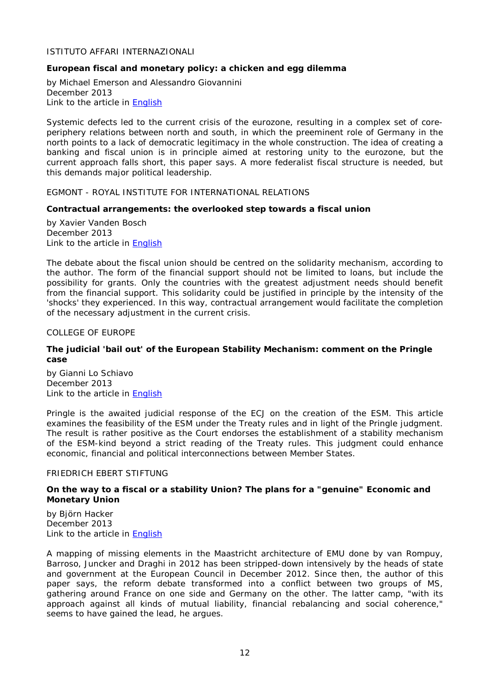### <span id="page-11-0"></span>ISTITUTO AFFARI INTERNAZIONALI

### <span id="page-11-1"></span>**European fiscal and monetary policy: a chicken and egg dilemma**

by Michael Emerson and Alessandro Giovannini December 2013 Link to the article in [English](http://www.iai.it/pdf/ImaginingEurope/ImaginingEurope_02.pdf)

Systemic defects led to the current crisis of the eurozone, resulting in a complex set of coreperiphery relations between north and south, in which the preeminent role of Germany in the north points to a lack of democratic legitimacy in the whole construction. The idea of creating a banking and fiscal union is in principle aimed at restoring unity to the eurozone, but the current approach falls short, this paper says. A more federalist fiscal structure is needed, but this demands major political leadership.

<span id="page-11-2"></span>EGMONT - ROYAL INSTITUTE FOR INTERNATIONAL RELATIONS

#### <span id="page-11-3"></span>**Contractual arrangements: the overlooked step towards a fiscal union**

by Xavier Vanden Bosch December 2013 Link to the article in [English](http://www.egmontinstitute.be/papers/13/eur/EPB18.pdf)

The debate about the fiscal union should be centred on the solidarity mechanism, according to the author. The form of the financial support should not be limited to loans, but include the possibility for grants. Only the countries with the greatest adjustment needs should benefit from the financial support. This solidarity could be justified in principle by the intensity of the 'shocks' they experienced. In this way, contractual arrangement would facilitate the completion of the necessary adjustment in the current crisis.

<span id="page-11-4"></span>COLLEGE OF EUROPE

### <span id="page-11-5"></span>**The judicial 'bail out' of the European Stability Mechanism: comment on the Pringle case**

by Gianni Lo Schiavo December 2013 Link to the article in [English](https://www.coleurope.eu/system/files_force/research-paper/researchpaper_9_2013_loschiavo.pdf)

Pringle is the awaited judicial response of the ECJ on the creation of the ESM. This article examines the feasibility of the ESM under the Treaty rules and in light of the Pringle judgment. The result is rather positive as the Court endorses the establishment of a stability mechanism of the ESM-kind beyond a strict reading of the Treaty rules. This judgment could enhance economic, financial and political interconnections between Member States.

#### <span id="page-11-6"></span>FRIEDRICH EBERT STIFTUNG

#### <span id="page-11-7"></span>**On the way to a fiscal or a stability Union? The plans for a "genuine" Economic and Monetary Union**

by Björn Hacker December 2013 Link to the article in **English** 

A mapping of missing elements in the Maastricht architecture of EMU done by van Rompuy, Barroso, Juncker and Draghi in 2012 has been stripped-down intensively by the heads of state and government at the European Council in December 2012. Since then, the author of this paper says, the reform debate transformed into a conflict between two groups of MS, gathering around France on one side and Germany on the other. The latter camp, "with its approach against all kinds of mutual liability, financial rebalancing and social coherence," seems to have gained the lead, he argues.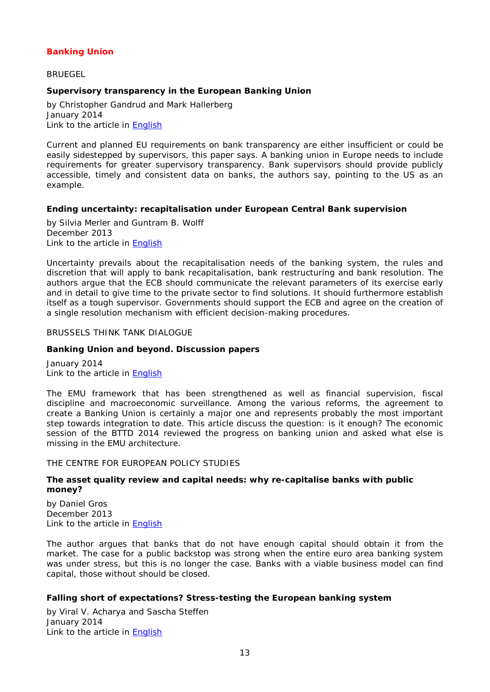# <span id="page-12-0"></span>*Banking Union*

<span id="page-12-1"></span>**BRUEGEL** 

# <span id="page-12-2"></span>**Supervisory transparency in the European Banking Union**

by Christopher Gandrud and Mark Hallerberg January 2014 Link to the article in [English](http://www.bruegel.org/download/parent/807-supervisory-transparency-in-the-european-banking-union/file/1699-supervisory-transparency-in-the-european-banking-union/)

Current and planned EU requirements on bank transparency are either insufficient or could be easily sidestepped by supervisors, this paper says. A banking union in Europe needs to include requirements for greater supervisory transparency. Bank supervisors should provide publicly accessible, timely and consistent data on banks, the authors say, pointing to the US as an example.

### <span id="page-12-3"></span>**Ending uncertainty: recapitalisation under European Central Bank supervision**

by Silvia Merler and Guntram B. Wolff December 2013 Link to the article in [English](http://www.bruegel.org/download/parent/806-ending-uncertainty-recapitalisation-under-european-central-bank-supervision/file/1698-ending-uncertainty-recapitalisation-under-european-central-bank-supervision/)

Uncertainty prevails about the recapitalisation needs of the banking system, the rules and discretion that will apply to bank recapitalisation, bank restructuring and bank resolution. The authors argue that the ECB should communicate the relevant parameters of its exercise early and in detail to give time to the private sector to find solutions. It should furthermore establish itself as a tough supervisor. Governments should support the ECB and agree on the creation of a single resolution mechanism with efficient decision-making procedures.

### <span id="page-12-4"></span>BRUSSELS THINK TANK DIALOGUE

### <span id="page-12-5"></span>**Banking Union and beyond. Discussion papers**

January 2014 Link to the article in [English](http://www.bruegel.org/download/parent/808-banking-union-and-beyond-discussion-papers-for-brussels-think-tank-dialogue/file/1700-banking-union-and-beyond-discussion-papers-for-brussels-think-tank-dialogue/)

The EMU framework that has been strengthened as well as financial supervision, fiscal discipline and macroeconomic surveillance. Among the various reforms, the agreement to create a Banking Union is certainly a major one and represents probably the most important step towards integration to date. This article discuss the question: is it enough? The economic session of the BTTD 2014 reviewed the progress on banking union and asked what else is missing in the EMU architecture.

<span id="page-12-6"></span>THE CENTRE FOR EUROPEAN POLICY STUDIES

### <span id="page-12-7"></span>**The asset quality review and capital needs: why re-capitalise banks with public money?**

by Daniel Gros December 2013 Link to the article in [English](http://www.ceps.be/ceps/dld/8775/pdf)

The author argues that banks that do not have enough capital should obtain it from the market. The case for a public backstop was strong when the entire euro area banking system was under stress, but this is no longer the case. Banks with a viable business model can find capital, those without should be closed.

### <span id="page-12-8"></span>**Falling short of expectations? Stress-testing the European banking system**

by Viral V. Acharya and Sascha Steffen January 2014 Link to the article in [English](http://www.ceps.be/ceps/dld/8803/pdf)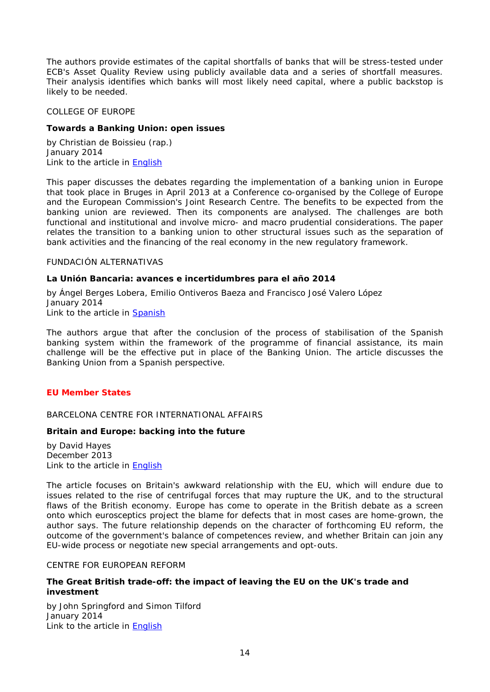The authors provide estimates of the capital shortfalls of banks that will be stress-tested under ECB's Asset Quality Review using publicly available data and a series of shortfall measures. Their analysis identifies which banks will most likely need capital, where a public backstop is likely to be needed.

#### <span id="page-13-0"></span>COLLEGE OF EUROPE

### <span id="page-13-1"></span>**Towards a Banking Union: open issues**

by Christian de Boissieu (rap.) January 2014 Link to the article in [English](https://www.coleurope.eu/system/files_force/research-paper/beep32_0.pdf?download=1)

This paper discusses the debates regarding the implementation of a banking union in Europe that took place in Bruges in April 2013 at a Conference co-organised by the College of Europe and the European Commission's Joint Research Centre. The benefits to be expected from the banking union are reviewed. Then its components are analysed. The challenges are both functional and institutional and involve micro- and macro prudential considerations. The paper relates the transition to a banking union to other structural issues such as the separation of bank activities and the financing of the real economy in the new regulatory framework.

# <span id="page-13-2"></span>FUNDACIÓN ALTERNATIVAS

#### <span id="page-13-3"></span>**La Unión Bancaria: avances e incertidumbres para el año 2014**

by Ángel Berges Lobera, Emilio Ontiveros Baeza and Francisco José Valero López January 2014 Link to the article in [Spanish](http://www.falternativas.org/content/download/21266/536941/version/2/file/74_unionbancaria.pdf)

The authors argue that after the conclusion of the process of stabilisation of the Spanish banking system within the framework of the programme of financial assistance, its main challenge will be the effective put in place of the Banking Union. The article discusses the Banking Union from a Spanish perspective.

### <span id="page-13-5"></span><span id="page-13-4"></span>*EU Member States*

### BARCELONA CENTRE FOR INTERNATIONAL AFFAIRS

### <span id="page-13-6"></span>**Britain and Europe: backing into the future**

by David Hayes December 2013 Link to the article in [English](http://www.cidob.org/en/content/download/37965/592752/file/NOTES+80_HAYES_ANG.pdf)

The article focuses on Britain's awkward relationship with the EU, which will endure due to issues related to the rise of centrifugal forces that may rupture the UK, and to the structural flaws of the British economy. Europe has come to operate in the British debate as a screen onto which eurosceptics project the blame for defects that in most cases are home-grown, the author says. The future relationship depends on the character of forthcoming EU reform, the outcome of the government's balance of competences review, and whether Britain can join any EU-wide process or negotiate new special arrangements and opt-outs.

#### <span id="page-13-7"></span>CENTRE FOR EUROPEAN REFORM

### <span id="page-13-8"></span>**The Great British trade-off: the impact of leaving the EU on the UK's trade and investment**

by John Springford and Simon Tilford January 2014 Link to the article in **English**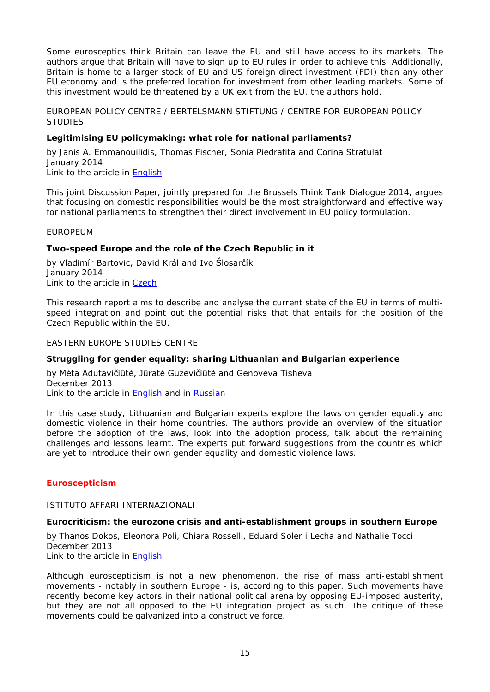Some eurosceptics think Britain can leave the EU and still have access to its markets. The authors argue that Britain will have to sign up to EU rules in order to achieve this. Additionally, Britain is home to a larger stock of EU and US foreign direct investment (FDI) than any other EU economy and is the preferred location for investment from other leading markets. Some of this investment would be threatened by a UK exit from the EU, the authors hold.

<span id="page-14-0"></span>EUROPEAN POLICY CENTRE / BERTELSMANN STIFTUNG / CENTRE FOR EUROPEAN POLICY **STUDIES** 

### <span id="page-14-1"></span>**Legitimising EU policymaking: what role for national parliaments?**

by Janis A. Emmanouilidis, Thomas Fischer, Sonia Piedrafita and Corina Stratulat January 2014 Link to the article in **English** 

This joint Discussion Paper, jointly prepared for the Brussels Think Tank Dialogue 2014, argues that focusing on domestic responsibilities would be the most straightforward and effective way for national parliaments to strengthen their direct involvement in EU policy formulation.

#### <span id="page-14-2"></span>EUROPEUM

### <span id="page-14-3"></span>**Two-speed Europe and the role of the Czech Republic in it**

by Vladimír Bartovic, David Král and Ivo Šlosarčík January 2014 Link to the article in [Czech](http://www.europeum.org/images/paper/dvourychlostni_evropa.pdf)

This research report aims to describe and analyse the current state of the EU in terms of multispeed integration and point out the potential risks that that entails for the position of the Czech Republic within the EU.

#### <span id="page-14-4"></span>EASTERN EUROPE STUDIES CENTRE

### <span id="page-14-5"></span>**Struggling for gender equality: sharing Lithuanian and Bulgarian experience**

by Mėta Adutavičiūtė, Jūratė Guzevičiūtė and Genoveva Tisheva December 2013 Link to the article in [English](http://www.eesc.lt/uploads/news/id682/Struggling%20for%20gender%20equality_EN.pdf) and in [Russian](http://www.eesc.lt/uploads/news/id682/2013-12-18%20FINAL%20Analytical%20study%20RU.pdf)

In this case study, Lithuanian and Bulgarian experts explore the laws on gender equality and domestic violence in their home countries. The authors provide an overview of the situation before the adoption of the laws, look into the adoption process, talk about the remaining challenges and lessons learnt. The experts put forward suggestions from the countries which are yet to introduce their own gender equality and domestic violence laws.

### <span id="page-14-7"></span><span id="page-14-6"></span>*Euroscepticism*

#### ISTITUTO AFFARI INTERNAZIONALI

### <span id="page-14-8"></span>**Eurocriticism: the eurozone crisis and anti-establishment groups in southern Europe**

by Thanos Dokos, Eleonora Poli, Chiara Rosselli, Eduard Soler i Lecha and Nathalie Tocci December 2013 Link to the article in [English](http://www.iai.it/pdf/DocIAI/iaiwp1333.pdf)

Although euroscepticism is not a new phenomenon, the rise of mass anti-establishment movements - notably in southern Europe - is, according to this paper. Such movements have recently become key actors in their national political arena by opposing EU-imposed austerity, but they are not all opposed to the EU integration project as such. The critique of these movements could be galvanized into a constructive force.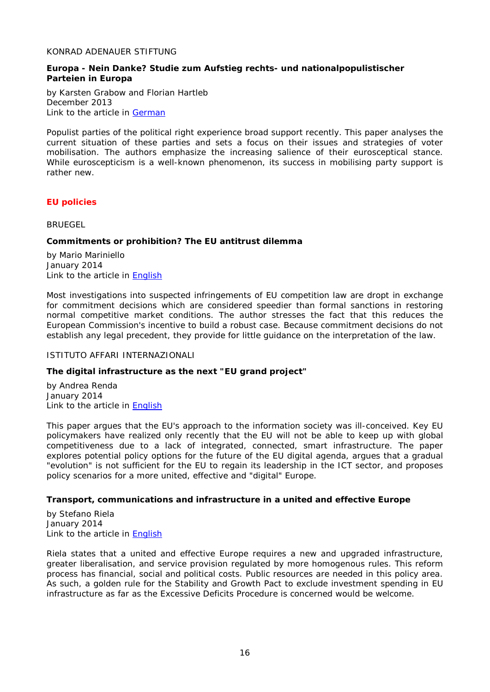#### <span id="page-15-0"></span>KONRAD ADENAUER STIFTUNG

### <span id="page-15-1"></span>**Europa - Nein Danke? Studie zum Aufstieg rechts- und nationalpopulistischer Parteien in Europa**

by Karsten Grabow and Florian Hartleb December 2013 Link to the article in **German** 

Populist parties of the political right experience broad support recently. This paper analyses the current situation of these parties and sets a focus on their issues and strategies of voter mobilisation. The authors emphasize the increasing salience of their eurosceptical stance. While euroscepticism is a well-known phenomenon, its success in mobilising party support is rather new.

# <span id="page-15-2"></span>*EU policies*

<span id="page-15-3"></span>**BRUEGEL** 

# <span id="page-15-4"></span>**Commitments or prohibition? The EU antitrust dilemma**

by Mario Mariniello January 2014 Link to the article in [English](http://www.bruegel.org/download/parent/809-commitments-or-prohibition-the-eu-antitrust-dilemma/file/1701-commitments-or-prohibition-the-eu-antitrust-dilemma/)

Most investigations into suspected infringements of EU competition law are dropt in exchange for commitment decisions which are considered speedier than formal sanctions in restoring normal competitive market conditions. The author stresses the fact that this reduces the European Commission's incentive to build a robust case. Because commitment decisions do not establish any legal precedent, they provide for little guidance on the interpretation of the law.

### <span id="page-15-5"></span>ISTITUTO AFFARI INTERNAZIONALI

### <span id="page-15-6"></span>**The digital infrastructure as the next "EU grand project"**

by Andrea Renda January 2014 Link to the article in [English](http://www.iai.it/pdf/ImaginingEurope/ImaginingEurope_03.pdf)

This paper argues that the EU's approach to the information society was ill-conceived. Key EU policymakers have realized only recently that the EU will not be able to keep up with global competitiveness due to a lack of integrated, connected, smart infrastructure. The paper explores potential policy options for the future of the EU digital agenda, argues that a gradual "evolution" is not sufficient for the EU to regain its leadership in the ICT sector, and proposes policy scenarios for a more united, effective and "digital" Europe.

### <span id="page-15-7"></span>**Transport, communications and infrastructure in a united and effective Europe**

by Stefano Riela January 2014 Link to the article in **English** 

Riela states that a united and effective Europe requires a new and upgraded infrastructure, greater liberalisation, and service provision regulated by more homogenous rules. This reform process has financial, social and political costs. Public resources are needed in this policy area. As such, a golden rule for the Stability and Growth Pact to exclude investment spending in EU infrastructure as far as the Excessive Deficits Procedure is concerned would be welcome.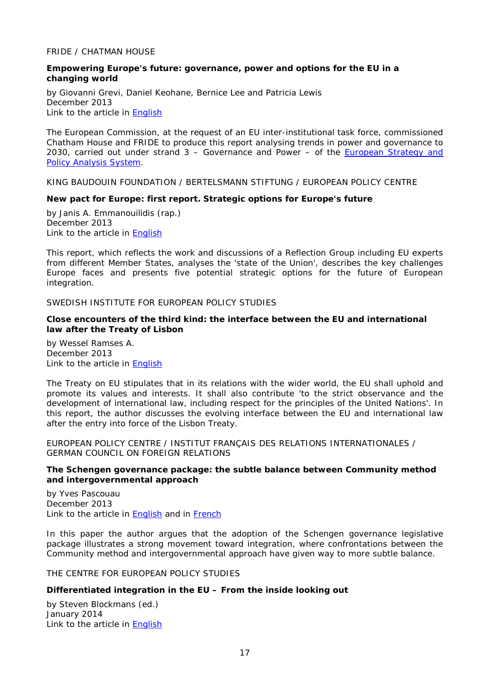### <span id="page-16-0"></span>FRIDE / CHATMAN HOUSE

### <span id="page-16-1"></span>**Empowering Europe's future: governance, power and options for the EU in a changing world**

by Giovanni Grevi, Daniel Keohane, Bernice Lee and Patricia Lewis December 2013 Link to the article in [English](http://www.fride.org/download/Empowering_Europe_Future.pdf)

The European Commission, at the request of an EU inter-institutional task force, commissioned Chatham House and FRIDE to produce this report analysing trends in power and governance to 2030, carried out under strand 3 – Governance and Power – of the [European Strategy and](http://europa.eu/espas/)  [Policy Analysis System.](http://europa.eu/espas/)

<span id="page-16-2"></span>KING BAUDOUIN FOUNDATION / BERTELSMANN STIFTUNG / EUROPEAN POLICY CENTRE

# <span id="page-16-3"></span>**New pact for Europe: first report. Strategic options for Europe's future**

by Janis A. Emmanouilidis (rap.) December 2013 Link to the article in [English](http://www.newpactforeurope.eu/documents/1st_report_new_pact_for_europe.pdf)

This report, which reflects the work and discussions of a Reflection Group including EU experts from different Member States, analyses the 'state of the Union', describes the key challenges Europe faces and presents five potential strategic options for the future of European integration.

# <span id="page-16-4"></span>SWEDISH INSTITUTE FOR EUROPEAN POLICY STUDIES

### <span id="page-16-5"></span>**Close encounters of the third kind: the interface between the EU and international law after the Treaty of Lisbon**

by Wessel Ramses A. December 2013 Link to the article in [English](http://www.sieps.se/sites/default/files/2013_8_WEBB.pdf)

The Treaty on EU stipulates that in its relations with the wider world, the EU shall uphold and promote its values and interests. It shall also contribute 'to the strict observance and the development of international law, including respect for the principles of the United Nations'. In this report, the author discusses the evolving interface between the EU and international law after the entry into force of the Lisbon Treaty.

<span id="page-16-6"></span>EUROPEAN POLICY CENTRE / INSTITUT FRANÇAIS DES RELATIONS INTERNATIONALES / GERMAN COUNCIL ON FOREIGN RELATIONS

### <span id="page-16-7"></span>**The Schengen governance package: the subtle balance between Community method and intergovernmental approach**

by Yves Pascouau December 2013 Link to the article in [English](http://www.epc.eu/documents/uploads/pub_4011_schengen_governance_package.pdf) and in [French](http://www.ifri.org/downloads/noteducerfa106yvespascouau.pdf)

In this paper the author argues that the adoption of the Schengen governance legislative package illustrates a strong movement toward integration, where confrontations between the Community method and intergovernmental approach have given way to more subtle balance.

<span id="page-16-8"></span>THE CENTRE FOR EUROPEAN POLICY STUDIES

### <span id="page-16-9"></span>**Differentiated integration in the EU – From the inside looking out**

by Steven Blockmans (ed.) January 2014 Link to the article in **English**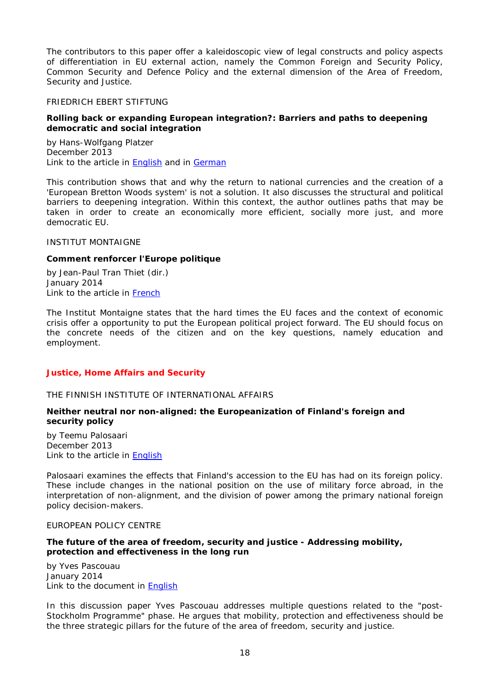The contributors to this paper offer a kaleidoscopic view of legal constructs and policy aspects of differentiation in EU external action, namely the Common Foreign and Security Policy, Common Security and Defence Policy and the external dimension of the Area of Freedom, Security and Justice.

#### <span id="page-17-0"></span>FRIEDRICH EBERT STIFTUNG

### <span id="page-17-1"></span>**Rolling back or expanding European integration?: Barriers and paths to deepening democratic and social integration**

by Hans-Wolfgang Platzer December 2013 Link to the article in [English](http://library.fes.de/pdf-files/id/ipa/10527.pdf) and in [German](http://library.fes.de/pdf-files/id/ipa/10383.pdf)

This contribution shows that and why the return to national currencies and the creation of a 'European Bretton Woods system' is not a solution. It also discusses the structural and political barriers to deepening integration. Within this context, the author outlines paths that may be taken in order to create an economically more efficient, socially more just, and more democratic EU.

#### <span id="page-17-2"></span>INSTITUT MONTAIGNE

### <span id="page-17-3"></span>**Comment renforcer l'Europe politique**

by Jean-Paul Tran Thiet (dir.) January 2014 Link to the article in [French](http://www.institutmontaigne.org/res/files/publications/note%20europe(1).pdf)

The Institut Montaigne states that the hard times the EU faces and the context of economic crisis offer a opportunity to put the European political project forward. The EU should focus on the concrete needs of the citizen and on the key questions, namely education and employment.

### <span id="page-17-5"></span><span id="page-17-4"></span>*Justice, Home Affairs and Security*

#### THE FINNISH INSTITUTE OF INTERNATIONAL AFFAIRS

# <span id="page-17-6"></span>**Neither neutral nor non-aligned: the Europeanization of Finland's foreign and security policy**

by Teemu Palosaari December 2013 Link to the article in [English](http://www.fiia.fi/assets/publications/FFPP03.pdf)

Palosaari examines the effects that Finland's accession to the EU has had on its foreign policy. These include changes in the national position on the use of military force abroad, in the interpretation of non-alignment, and the division of power among the primary national foreign policy decision-makers.

#### <span id="page-17-7"></span>EUROPEAN POLICY CENTRE

### <span id="page-17-8"></span>**The future of the area of freedom, security and justice - Addressing mobility, protection and effectiveness in the long run**

by Yves Pascouau January 2014 Link to the document in [English](http://www.epc.eu/documents/uploads/pub_4092_discussion_paper.pdf)

In this discussion paper Yves Pascouau addresses multiple questions related to the "post-Stockholm Programme" phase. He argues that mobility, protection and effectiveness should be the three strategic pillars for the future of the area of freedom, security and justice.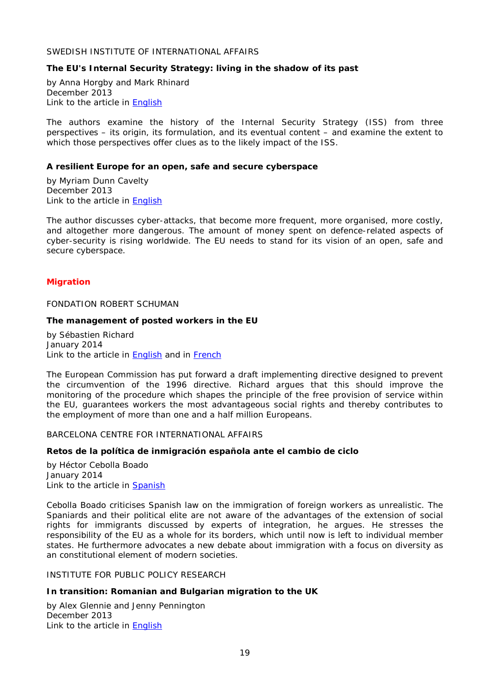### <span id="page-18-0"></span>SWEDISH INSTITUTE OF INTERNATIONAL AFFAIRS

### <span id="page-18-1"></span>**The EU's Internal Security Strategy: living in the shadow of its past**

by Anna Horgby and Mark Rhinard December 2013 Link to the article in [English](http://www.ui.se/eng/upl/files/99714.pdf)

The authors examine the history of the Internal Security Strategy (ISS) from three perspectives – its origin, its formulation, and its eventual content – and examine the extent to which those perspectives offer clues as to the likely impact of the ISS.

### <span id="page-18-2"></span>**A resilient Europe for an open, safe and secure cyberspace**

by Myriam Dunn Cavelty December 2013 Link to the article in [English](http://www.ui.se/eng/upl/files/99632.pdf)

The author discusses cyber-attacks, that become more frequent, more organised, more costly, and altogether more dangerous. The amount of money spent on defence-related aspects of cyber-security is rising worldwide. The EU needs to stand for its vision of an open, safe and secure cyberspace.

### <span id="page-18-3"></span>*Migration*

<span id="page-18-4"></span>FONDATION ROBERT SCHUMAN

#### <span id="page-18-5"></span>**The management of posted workers in the EU**

by Sébastien Richard January 2014 Link to the article in **English** and in **French** 

The European Commission has put forward a draft implementing directive designed to prevent the circumvention of the 1996 directive. Richard argues that this should improve the monitoring of the procedure which shapes the principle of the free provision of service within the EU, guarantees workers the most advantageous social rights and thereby contributes to the employment of more than one and a half million Europeans.

<span id="page-18-6"></span>BARCELONA CENTRE FOR INTERNATIONAL AFFAIRS

### <span id="page-18-7"></span>**Retos de la política de inmigración española ante el cambio de ciclo**

by Héctor Cebolla Boado January 2014 Link to the article in [Spanish](http://www.cidob.org/en/content/download/38207/595556/file/NOTES+83_CEBOLLA+y+PINYOL_CAST.pdf)

Cebolla Boado criticises Spanish law on the immigration of foreign workers as unrealistic. The Spaniards and their political elite are not aware of the advantages of the extension of social rights for immigrants discussed by experts of integration, he argues. He stresses the responsibility of the EU as a whole for its borders, which until now is left to individual member states. He furthermore advocates a new debate about immigration with a focus on diversity as an constitutional element of modern societies.

<span id="page-18-8"></span>INSTITUTE FOR PUBLIC POLICY RESEARCH

### <span id="page-18-9"></span>**In transition: Romanian and Bulgarian migration to the UK**

by Alex Glennie and Jenny Pennington December 2013 Link to the article in [English](http://www.ippr.org/images/media/files/publication/2013/12/in-transition_RomBulg_Dec2013_11688.pdf)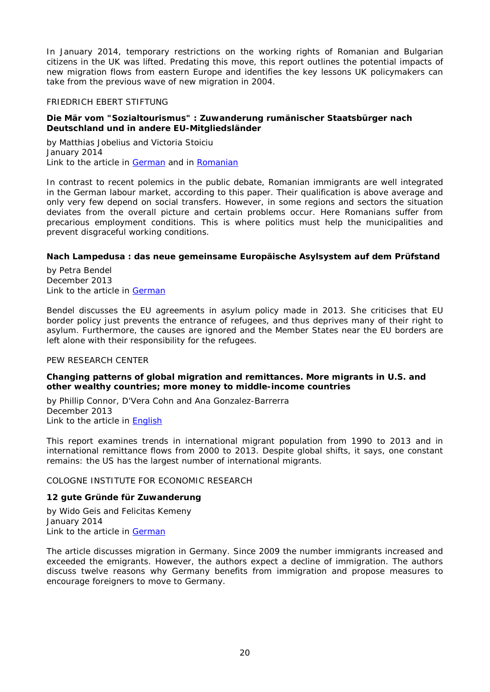In January 2014, temporary restrictions on the working rights of Romanian and Bulgarian citizens in the UK was lifted. Predating this move, this report outlines the potential impacts of new migration flows from eastern Europe and identifies the key lessons UK policymakers can take from the previous wave of new migration in 2004.

### <span id="page-19-0"></span>FRIEDRICH EBERT STIFTUNG

### <span id="page-19-1"></span>**Die Mär vom "Sozialtourismus" : Zuwanderung rumänischer Staatsbürger nach Deutschland und in andere EU-Mitgliedsländer**

by Matthias Jobelius and Victoria Stoiciu January 2014 Link to the article in [German](http://library.fes.de/pdf-files/id-moe/10467.pdf) and in [Romanian](http://library.fes.de/pdf-files/id-moe/10531.pdf)

In contrast to recent polemics in the public debate, Romanian immigrants are well integrated in the German labour market, according to this paper. Their qualification is above average and only very few depend on social transfers. However, in some regions and sectors the situation deviates from the overall picture and certain problems occur. Here Romanians suffer from precarious employment conditions. This is where politics must help the municipalities and prevent disgraceful working conditions.

#### <span id="page-19-2"></span>**Nach Lampedusa : das neue gemeinsame Europäische Asylsystem auf dem Prüfstand**

by Petra Bendel December 2013 Link to the article in [German](http://library.fes.de/pdf-files/wiso/10415.pdf)

Bendel discusses the EU agreements in asylum policy made in 2013. She criticises that EU border policy just prevents the entrance of refugees, and thus deprives many of their right to asylum. Furthermore, the causes are ignored and the Member States near the EU borders are left alone with their responsibility for the refugees.

#### <span id="page-19-3"></span>PEW RESEARCH CENTER

### <span id="page-19-4"></span>**Changing patterns of global migration and remittances. More migrants in U.S. and other wealthy countries; more money to middle-income countries**

by Phillip Connor, D'Vera Cohn and Ana Gonzalez-Barrerra December 2013 Link to the article in [English](http://www.pewsocialtrends.org/files/2013/12/global-migration-final_12-2013.pdf)

This report examines trends in international migrant population from 1990 to 2013 and in international remittance flows from 2000 to 2013. Despite global shifts, it says, one constant remains: the US has the largest number of international migrants.

# <span id="page-19-5"></span>COLOGNE INSTITUTE FOR ECONOMIC RESEARCH

### <span id="page-19-6"></span>**12 gute Gründe für Zuwanderung**

by Wido Geis and Felicitas Kemeny January 2014 Link to the article in [German](http://www.etracker.de/lnkcnt.php?et=lKbSM9&url=http%3A%2F%2Fwww.iwkoeln.de%2F_storage%2Fasset%2F142037%2Fstorage%2Fmaster%2Ffile%2F3989937%2Fdownload%2FIW-PK%2520Zuwanderung%252020%25201%25202014%2520Policy%2520Paper.pdf&lnkname=IW-PK%20Zuwanderung%2020.1.2014%2C%20IW%20policy%20paper.pdf)

The article discusses migration in Germany. Since 2009 the number immigrants increased and exceeded the emigrants. However, the authors expect a decline of immigration. The authors discuss twelve reasons why Germany benefits from immigration and propose measures to encourage foreigners to move to Germany.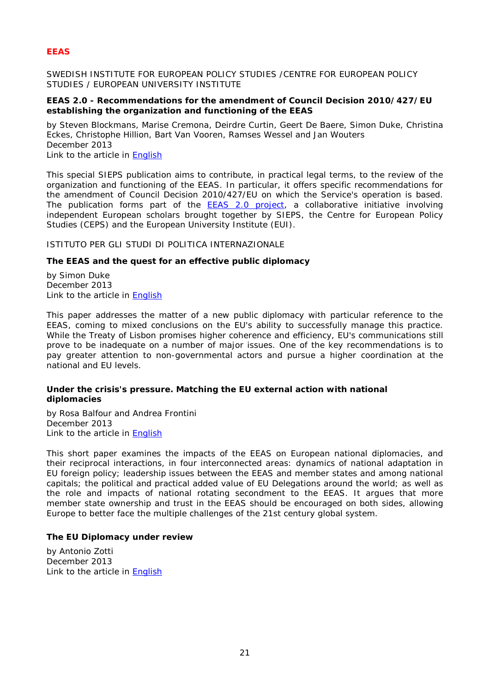# <span id="page-20-0"></span>*EEAS*

<span id="page-20-1"></span>SWEDISH INSTITUTE FOR EUROPEAN POLICY STUDIES /CENTRE FOR EUROPEAN POLICY STUDIES / EUROPEAN UNIVERSITY INSTITUTE

### <span id="page-20-2"></span>**EEAS 2.0 - Recommendations for the amendment of Council Decision 2010/427/EU establishing the organization and functioning of the EEAS**

by Steven Blockmans, Marise Cremona, Deirdre Curtin, Geert De Baere, Simon Duke, Christina Eckes, Christophe Hillion, Bart Van Vooren, Ramses Wessel and Jan Wouters December 2013 Link to the article in [English](http://www.sieps.se/sites/default/files/EEAS%202%200%20.pdf)

This special SIEPS publication aims to contribute, in practical legal terms, to the review of the organization and functioning of the EEAS. In particular, it offers specific recommendations for the amendment of Council Decision 2010/427/EU on which the Service's operation is based. The publication forms part of the [EEAS 2.0 project,](http://www.eui.eu/DepartmentsAndCentres/AcademyEuropeanLaw/Projects/EuropeanExternalActionService20.aspx) a collaborative initiative involving independent European scholars brought together by SIEPS, the Centre for European Policy Studies (CEPS) and the European University Institute (EUI).

<span id="page-20-3"></span>ISTITUTO PER GLI STUDI DI POLITICA INTERNAZIONALE

### <span id="page-20-4"></span>**The EEAS and the quest for an effective public diplomacy**

by Simon Duke December 2013 Link to the article in [English](http://www.ispionline.it/sites/default/files/pubblicazioni/analysis_216_2013.pdf)

This paper addresses the matter of a new public diplomacy with particular reference to the EEAS, coming to mixed conclusions on the EU's ability to successfully manage this practice. While the Treaty of Lisbon promises higher coherence and efficiency, EU's communications still prove to be inadequate on a number of major issues. One of the key recommendations is to pay greater attention to non-governmental actors and pursue a higher coordination at the national and EU levels.

### <span id="page-20-5"></span>**Under the crisis's pressure. Matching the EU external action with national diplomacies**

by Rosa Balfour and Andrea Frontini December 2013 Link to the article in [English](http://www.ispionline.it/sites/default/files/pubblicazioni/analysis_215_2013_0.pdf)

This short paper examines the impacts of the EEAS on European national diplomacies, and their reciprocal interactions, in four interconnected areas: dynamics of national adaptation in EU foreign policy; leadership issues between the EEAS and member states and among national capitals; the political and practical added value of EU Delegations around the world; as well as the role and impacts of national rotating secondment to the EEAS. It argues that more member state ownership and trust in the EEAS should be encouraged on both sides, allowing Europe to better face the multiple challenges of the 21st century global system.

### <span id="page-20-6"></span>**The EU Diplomacy under review**

by Antonio Zotti December 2013 Link to the article in [English](http://www.ispionline.it/sites/default/files/pubblicazioni/analysis_214_2013_0.pdf)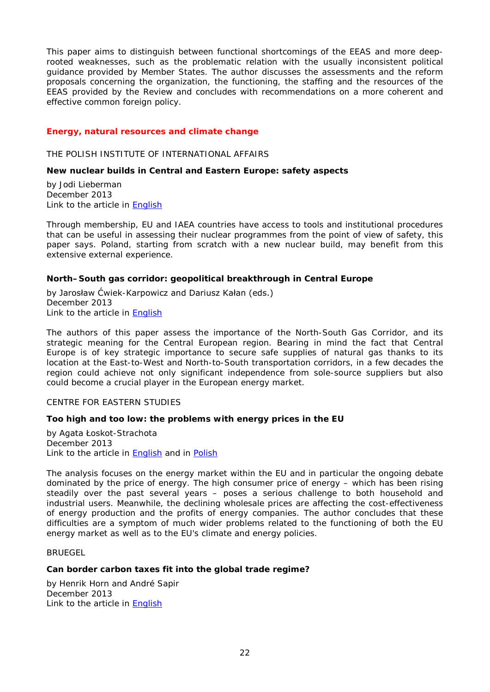This paper aims to distinguish between functional shortcomings of the EEAS and more deeprooted weaknesses, such as the problematic relation with the usually inconsistent political guidance provided by Member States. The author discusses the assessments and the reform proposals concerning the organization, the functioning, the staffing and the resources of the EEAS provided by the Review and concludes with recommendations on a more coherent and effective common foreign policy.

### <span id="page-21-0"></span>*Energy, natural resources and climate change*

<span id="page-21-1"></span>THE POLISH INSTITUTE OF INTERNATIONAL AFFAIRS

### <span id="page-21-2"></span>**New nuclear builds in Central and Eastern Europe: safety aspects**

by Jodi Lieberman December 2013 Link to the article in [English](http://www.pism.pl/files/?id_plik=15729)

Through membership, EU and IAEA countries have access to tools and institutional procedures that can be useful in assessing their nuclear programmes from the point of view of safety, this paper says. Poland, starting from scratch with a new nuclear build, may benefit from this extensive external experience.

### <span id="page-21-3"></span>**North–South gas corridor: geopolitical breakthrough in Central Europe**

by Jarosław Ćwiek-Karpowicz and Dariusz Kałan (eds.) December 2013 Link to the article in [English](http://www.pism.pl/files/?id_plik=15698)

The authors of this paper assess the importance of the North-South Gas Corridor, and its strategic meaning for the Central European region. Bearing in mind the fact that Central Europe is of key strategic importance to secure safe supplies of natural gas thanks to its location at the East-to-West and North-to-South transportation corridors, in a few decades the region could achieve not only significant independence from sole-source suppliers but also could become a crucial player in the European energy market.

### <span id="page-21-4"></span>CENTRE FOR EASTERN STUDIES

### <span id="page-21-5"></span>**Too high and too low: the problems with energy prices in the EU**

by Agata Łoskot-Strachota December 2013 Link to the article in **English** and in **Polish** 

The analysis focuses on the energy market within the EU and in particular the ongoing debate dominated by the price of energy. The high consumer price of energy – which has been rising steadily over the past several years – poses a serious challenge to both household and industrial users. Meanwhile, the declining wholesale prices are affecting the cost-effectiveness of energy production and the profits of energy companies. The author concludes that these difficulties are a symptom of much wider problems related to the functioning of both the EU energy market as well as to the EU's climate and energy policies.

<span id="page-21-6"></span>BRUEGEL

#### <span id="page-21-7"></span>**Can border carbon taxes fit into the global trade regime?**

by Henrik Horn and André Sapir December 2013 Link to the article in [English](http://www.bruegel.org/download/parent/805-can-border-carbon-taxes-fit-into-the-global-trade-regime/file/1697-can-border-carbon-taxes-fit-into-the-global-trade-regime/)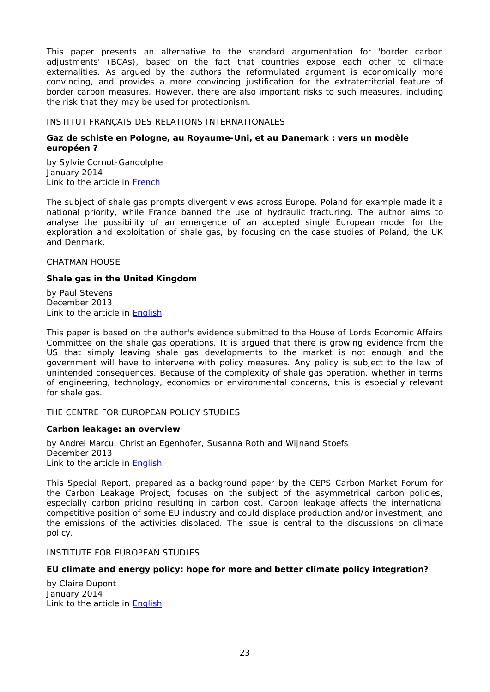This paper presents an alternative to the standard argumentation for 'border carbon adjustments' (BCAs), based on the fact that countries expose each other to climate externalities. As argued by the authors the reformulated argument is economically more convincing, and provides a more convincing justification for the extraterritorial feature of border carbon measures. However, there are also important risks to such measures, including the risk that they may be used for protectionism.

### <span id="page-22-0"></span>INSTITUT FRANÇAIS DES RELATIONS INTERNATIONALES

### <span id="page-22-1"></span>**Gaz de schiste en Pologne, au Royaume-Uni, et au Danemark : vers un modèle européen ?**

by Sylvie Cornot-Gandolphe January 2014 Link to the article in [French](http://www.ifri.org/downloads/notesylvie9114.pdf)

The subject of shale gas prompts divergent views across Europe. Poland for example made it a national priority, while France banned the use of hydraulic fracturing. The author aims to analyse the possibility of an emergence of an accepted single European model for the exploration and exploitation of shale gas, by focusing on the case studies of Poland, the UK and Denmark.

<span id="page-22-2"></span>CHATMAN HOUSE

### <span id="page-22-3"></span>**Shale gas in the United Kingdom**

by Paul Stevens December 2013 Link to the article in [English](http://www.chathamhouse.org/sites/default/files/public/Research/Energy,%20Environment%20and%20Development/131213shalegas.pdf)

This paper is based on the author's evidence submitted to the House of Lords Economic Affairs Committee on the shale gas operations. It is argued that there is growing evidence from the US that simply leaving shale gas developments to the market is not enough and the government will have to intervene with policy measures. Any policy is subject to the law of unintended consequences. Because of the complexity of shale gas operation, whether in terms of engineering, technology, economics or environmental concerns, this is especially relevant for shale gas.

<span id="page-22-4"></span>THE CENTRE FOR EUROPEAN POLICY STUDIES

### <span id="page-22-5"></span>**Carbon leakage: an overview**

by Andrei Marcu, Christian Egenhofer, Susanna Roth and Wijnand Stoefs December 2013 Link to the article in [English](http://www.ceps.be/ceps/dld/8719/pdf)

This Special Report, prepared as a background paper by the CEPS Carbon Market Forum for the Carbon Leakage Project, focuses on the subject of the asymmetrical carbon policies, especially carbon pricing resulting in carbon cost. Carbon leakage affects the international competitive position of some EU industry and could displace production and/or investment, and the emissions of the activities displaced. The issue is central to the discussions on climate policy.

<span id="page-22-6"></span>INSTITUTE FOR EUROPEAN STUDIES

### <span id="page-22-7"></span>**EU climate and energy policy: hope for more and better climate policy integration?**

by Claire Dupont January 2014 Link to the article in [English](http://www.ies.be/files/2014_2_PB.pdf)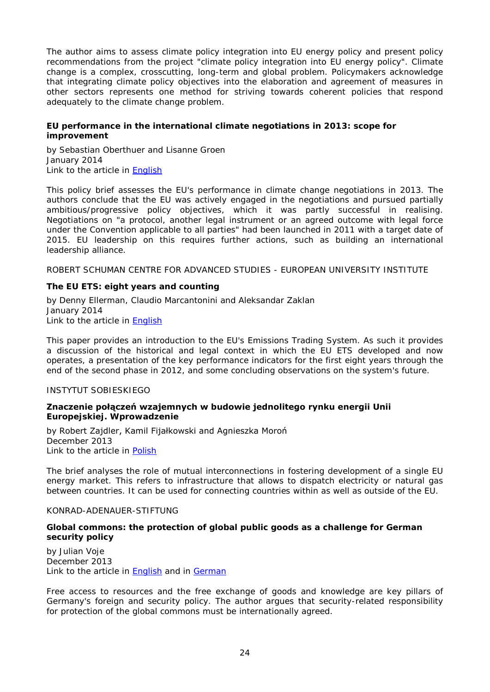The author aims to assess climate policy integration into EU energy policy and present policy recommendations from the project "climate policy integration into EU energy policy". Climate change is a complex, crosscutting, long-term and global problem. Policymakers acknowledge that integrating climate policy objectives into the elaboration and agreement of measures in other sectors represents one method for striving towards coherent policies that respond adequately to the climate change problem.

### <span id="page-23-0"></span>**EU performance in the international climate negotiations in 2013: scope for improvement**

by Sebastian Oberthuer and Lisanne Groen January 2014 Link to the article in [English](http://www.ies.be/files/2014_1_PB.pdf)

This policy brief assesses the EU's performance in climate change negotiations in 2013. The authors conclude that the EU was actively engaged in the negotiations and pursued partially ambitious/progressive policy objectives, which it was partly successful in realising. Negotiations on "a protocol, another legal instrument or an agreed outcome with legal force under the Convention applicable to all parties" had been launched in 2011 with a target date of 2015. EU leadership on this requires further actions, such as building an international leadership alliance.

<span id="page-23-1"></span>ROBERT SCHUMAN CENTRE FOR ADVANCED STUDIES - EUROPEAN UNIVERSITY INSTITUTE

# <span id="page-23-2"></span>**The EU ETS: eight years and counting**

by Denny Ellerman, Claudio Marcantonini and Aleksandar Zaklan January 2014 Link to the article in [English](http://cadmus.eui.eu/bitstream/handle/1814/29517/RSCAS_2014_04.pdf)

This paper provides an introduction to the EU's Emissions Trading System. As such it provides a discussion of the historical and legal context in which the EU ETS developed and now operates, a presentation of the key performance indicators for the first eight years through the end of the second phase in 2012, and some concluding observations on the system's future.

### <span id="page-23-3"></span>INSTYTUT SOBIESKIEGO

### <span id="page-23-4"></span>**Znaczenie połączeń wzajemnych w budowie jednolitego rynku energii Unii Europejskiej. Wprowadzenie**

by Robert Zajdler, Kamil Fijałkowski and Agnieszka Moroń December 2013 Link to the article in [Polish](http://www.sobieski.org.pl/wp-content/uploads/R062-2013-XII-Zajdler-Interkonektory-Collegium.pdf)

The brief analyses the role of mutual interconnections in fostering development of a single EU energy market. This refers to infrastructure that allows to dispatch electricity or natural gas between countries. It can be used for connecting countries within as well as outside of the EU.

#### <span id="page-23-5"></span>KONRAD-ADENAUER-STIFTUNG

### <span id="page-23-6"></span>**Global commons: the protection of global public goods as a challenge for German security policy**

by Julian Voje December 2013 Link to the article in [English](http://www.kas.de/wf/doc/kas_36410-544-2-30.pdf) and in [German](http://www.kas.de/wf/doc/kas_36410-544-1-30.pdf)

Free access to resources and the free exchange of goods and knowledge are key pillars of Germany's foreign and security policy. The author argues that security-related responsibility for protection of the global commons must be internationally agreed.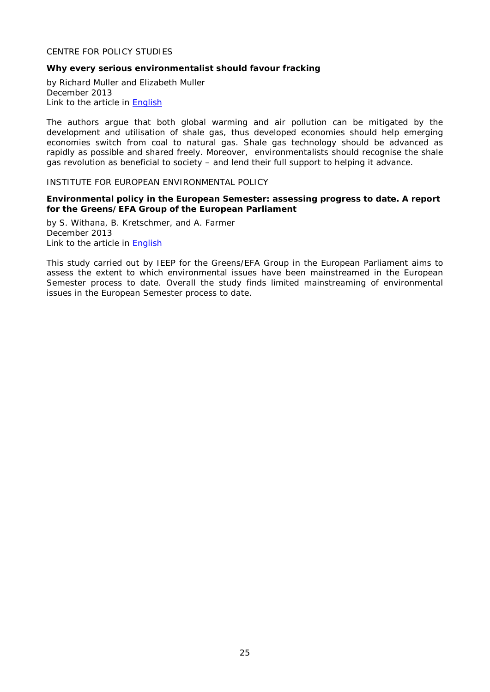# <span id="page-24-0"></span>CENTRE FOR POLICY STUDIES

### <span id="page-24-1"></span>**Why every serious environmentalist should favour fracking**

by Richard Muller and Elizabeth Muller December 2013 Link to the article in [English](http://www.cps.org.uk/files/reports/original/131202135150-WhyEverySeriousEnvironmentalistShouldFavourFracking.pdf)

The authors argue that both global warming and air pollution can be mitigated by the development and utilisation of shale gas, thus developed economies should help emerging economies switch from coal to natural gas. Shale gas technology should be advanced as rapidly as possible and shared freely. Moreover, environmentalists should recognise the shale gas revolution as beneficial to society – and lend their full support to helping it advance.

#### <span id="page-24-2"></span>INSTITUTE FOR EUROPEAN ENVIRONMENTAL POLICY

### <span id="page-24-3"></span>**Environmental policy in the European Semester: assessing progress to date. A report for the Greens/EFA Group of the European Parliament**

by S. Withana, B. Kretschmer, and A. Farmer December 2013 Link to the article in [English](http://www.ieep.eu/assets/1326/Environment_policy_in_the_European_Semester.pdf)

This study carried out by IEEP for the Greens/EFA Group in the European Parliament aims to assess the extent to which environmental issues have been mainstreamed in the European Semester process to date. Overall the study finds limited mainstreaming of environmental issues in the European Semester process to date.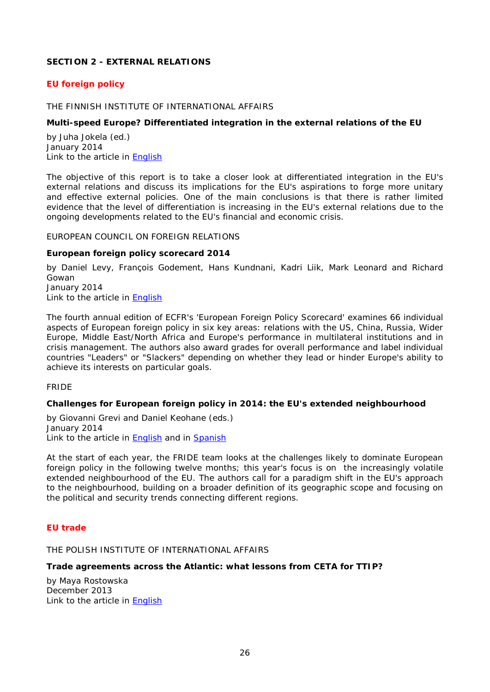# <span id="page-25-0"></span>**SECTION 2 - EXTERNAL RELATIONS**

# <span id="page-25-1"></span>*EU foreign policy*

#### <span id="page-25-2"></span>THE FINNISH INSTITUTE OF INTERNATIONAL AFFAIRS

#### <span id="page-25-3"></span>**Multi-speed Europe? Differentiated integration in the external relations of the EU**

by Juha Jokela (ed.) January 2014 Link to the article in [English](http://www.fiia.fi/assets/publications/FIIA_Report38_web.pdf)

The objective of this report is to take a closer look at differentiated integration in the EU's external relations and discuss its implications for the EU's aspirations to forge more unitary and effective external policies. One of the main conclusions is that there is rather limited evidence that the level of differentiation is increasing in the EU's external relations due to the ongoing developments related to the EU's financial and economic crisis.

#### <span id="page-25-4"></span>EUROPEAN COUNCIL ON FOREIGN RELATIONS

#### <span id="page-25-5"></span>**European foreign policy scorecard 2014**

by Daniel Levy, François Godement, Hans Kundnani, Kadri Liik, Mark Leonard and Richard Gowan January 2014

Link to the article in [English](http://ecfr.eu/page/-/ECFR94_SCORECARD_2014.pdf)

The fourth annual edition of ECFR's 'European Foreign Policy Scorecard' examines 66 individual aspects of European foreign policy in six key areas: relations with the US, China, Russia, Wider Europe, Middle East/North Africa and Europe's performance in multilateral institutions and in crisis management. The authors also award grades for overall performance and label individual countries "Leaders" or "Slackers" depending on whether they lead or hinder Europe's ability to achieve its interests on particular goals.

#### <span id="page-25-6"></span>FRIDE

### <span id="page-25-7"></span>**Challenges for European foreign policy in 2014: the EU's extended neighbourhood**

by Giovanni Grevi and Daniel Keohane (eds.) January 2014 Link to the article in [English](http://www.fride.org/download/Challenges_for_European_Foreign_Policy_in_2014.pdf) and in [Spanish](http://www.fride.org/download/Desafios_para_la_politicica_exterior_europea_en_2014.pdf)

At the start of each year, the FRIDE team looks at the challenges likely to dominate European foreign policy in the following twelve months; this year's focus is on the increasingly volatile extended neighbourhood of the EU. The authors call for a paradigm shift in the EU's approach to the neighbourhood, building on a broader definition of its geographic scope and focusing on the political and security trends connecting different regions.

### <span id="page-25-8"></span>*EU trade*

<span id="page-25-9"></span>THE POLISH INSTITUTE OF INTERNATIONAL AFFAIRS

#### <span id="page-25-10"></span>**Trade agreements across the Atlantic: what lessons from CETA for TTIP?**

by Maya Rostowska December 2013 Link to the article in [English](http://www.pism.pl/files/?id_plik=15901)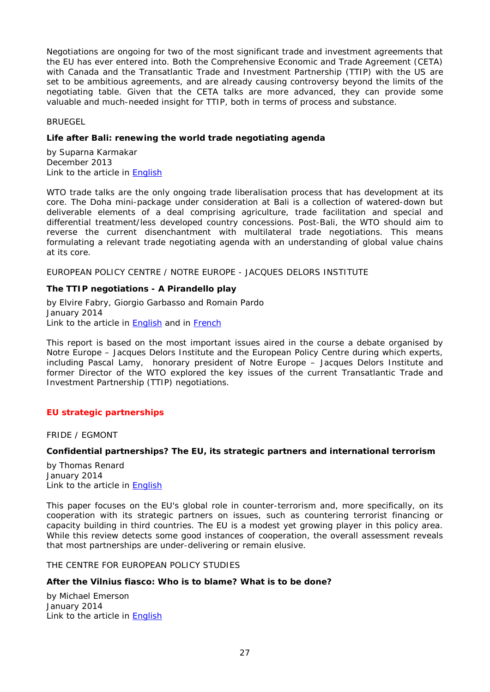Negotiations are ongoing for two of the most significant trade and investment agreements that the EU has ever entered into. Both the Comprehensive Economic and Trade Agreement (CETA) with Canada and the Transatlantic Trade and Investment Partnership (TTIP) with the US are set to be ambitious agreements, and are already causing controversy beyond the limits of the negotiating table. Given that the CETA talks are more advanced, they can provide some valuable and much-needed insight for TTIP, both in terms of process and substance.

<span id="page-26-0"></span>BRUEGEL

### <span id="page-26-1"></span>**Life after Bali: renewing the world trade negotiating agenda**

by Suparna Karmakar December 2013 Link to the article in **English** 

WTO trade talks are the only ongoing trade liberalisation process that has development at its core. The Doha mini-package under consideration at Bali is a collection of watered-down but deliverable elements of a deal comprising agriculture, trade facilitation and special and differential treatment/less developed country concessions. Post-Bali, the WTO should aim to reverse the current disenchantment with multilateral trade negotiations. This means formulating a relevant trade negotiating agenda with an understanding of global value chains at its core.

<span id="page-26-2"></span>EUROPEAN POLICY CENTRE / NOTRE EUROPE - JACQUES DELORS INSTITUTE

### <span id="page-26-3"></span>**The TTIP negotiations - A Pirandello play**

by Elvire Fabry, Giorgio Garbasso and Romain Pardo January 2014 Link to the article in **English** and in **French** 

This report is based on the most important issues aired in the course a debate organised by Notre Europe – Jacques Delors Institute and the European Policy Centre during which experts, including Pascal Lamy, honorary president of Notre Europe – Jacques Delors Institute and former Director of the WTO explored the key issues of the current Transatlantic Trade and Investment Partnership (TTIP) negotiations.

### <span id="page-26-4"></span>*EU strategic partnerships*

<span id="page-26-5"></span>FRIDE / EGMONT

### <span id="page-26-6"></span>**Confidential partnerships? The EU, its strategic partners and international terrorism**

by Thomas Renard January 2014 Link to the article in [English](http://www.fride.org/download/WP4_Confidential_partnerships.pdf)

This paper focuses on the EU's global role in counter-terrorism and, more specifically, on its cooperation with its strategic partners on issues, such as countering terrorist financing or capacity building in third countries. The EU is a modest yet growing player in this policy area. While this review detects some good instances of cooperation, the overall assessment reveals that most partnerships are under-delivering or remain elusive.

<span id="page-26-7"></span>THE CENTRE FOR EUROPEAN POLICY STUDIES

### <span id="page-26-8"></span>**After the Vilnius fiasco: Who is to blame? What is to be done?**

by Michael Emerson January 2014 Link to the article in [English](http://www.ceps.be/ceps/dld/8820/pdf)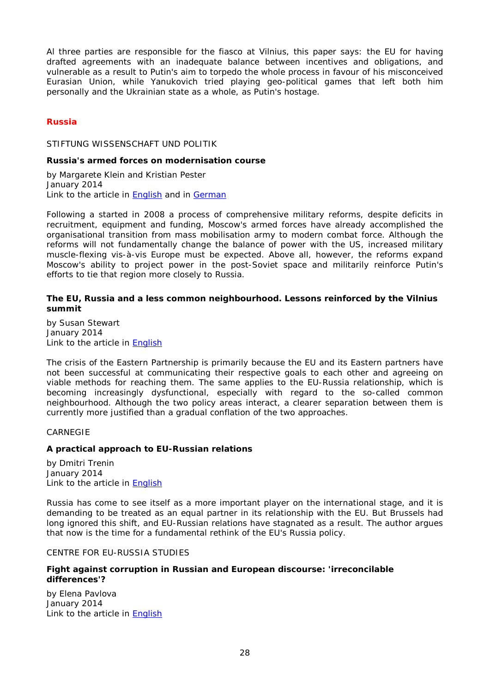Al three parties are responsible for the fiasco at Vilnius, this paper says: the EU for having drafted agreements with an inadequate balance between incentives and obligations, and vulnerable as a result to Putin's aim to torpedo the whole process in favour of his misconceived Eurasian Union, while Yanukovich tried playing geo-political games that left both him personally and the Ukrainian state as a whole, as Putin's hostage.

# <span id="page-27-0"></span>*Russia*

#### <span id="page-27-1"></span>STIFTUNG WISSENSCHAFT UND POLITIK

#### <span id="page-27-2"></span>**Russia's armed forces on modernisation course**

by Margarete Klein and Kristian Pester January 2014 Link to the article in [English](http://www.swp-berlin.org/fileadmin/contents/products/comments/2014C09_kle_pst.pdf) and in [German](http://www.swp-berlin.org/fileadmin/contents/products/aktuell/2013A72_kle_pst.pdf)

Following a started in 2008 a process of comprehensive military reforms, despite deficits in recruitment, equipment and funding, Moscow's armed forces have already accomplished the organisational transition from mass mobilisation army to modern combat force. Although the reforms will not fundamentally change the balance of power with the US, increased military muscle-flexing vis-à-vis Europe must be expected. Above all, however, the reforms expand Moscow's ability to project power in the post-Soviet space and militarily reinforce Putin's efforts to tie that region more closely to Russia.

### <span id="page-27-3"></span>**The EU, Russia and a less common neighbourhood. Lessons reinforced by the Vilnius summit**

by Susan Stewart January 2014 Link to the article in [English](http://www.swp-berlin.org/fileadmin/contents/products/comments/2014C03_stw.pdf)

The crisis of the Eastern Partnership is primarily because the EU and its Eastern partners have not been successful at communicating their respective goals to each other and agreeing on viable methods for reaching them. The same applies to the EU-Russia relationship, which is becoming increasingly dysfunctional, especially with regard to the so-called common neighbourhood. Although the two policy areas interact, a clearer separation between them is currently more justified than a gradual conflation of the two approaches.

### <span id="page-27-4"></span>CARNEGIE

### <span id="page-27-5"></span>**A practical approach to EU-Russian relations**

by Dmitri Trenin January 2014 Link to the article in [English](http://carnegieendowment.org/files/Article_EU-Russ_Trenin_Eng2014.pdf)

Russia has come to see itself as a more important player on the international stage, and it is demanding to be treated as an equal partner in its relationship with the EU. But Brussels had long ignored this shift, and EU-Russian relations have stagnated as a result. The author argues that now is the time for a fundamental rethink of the EU's Russia policy.

### <span id="page-27-6"></span>CENTRE FOR EU-RUSSIA STUDIES

#### <span id="page-27-7"></span>**Fight against corruption in Russian and European discourse: 'irreconcilable differences'?**

by Elena Pavlova January 2014 Link to the article in [English](http://ceurus.ut.ee/wp-content/uploads/2011/06/EU-Russia-Papers-14_Pavlova.pdf)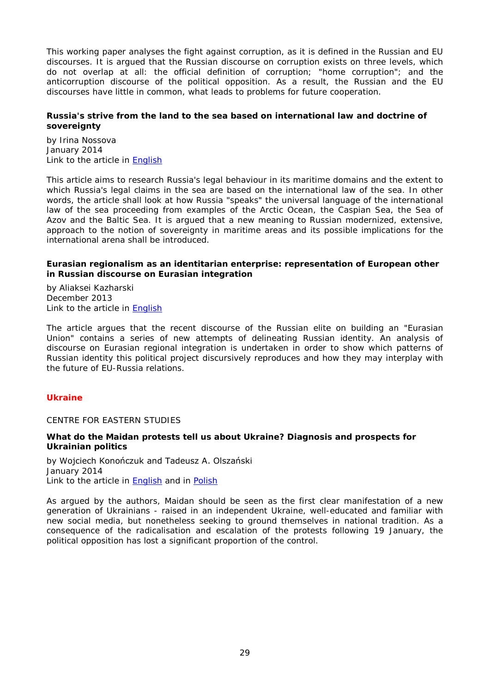This working paper analyses the fight against corruption, as it is defined in the Russian and EU discourses. It is argued that the Russian discourse on corruption exists on three levels, which do not overlap at all: the official definition of corruption; "home corruption"; and the anticorruption discourse of the political opposition. As a result, the Russian and the EU discourses have little in common, what leads to problems for future cooperation.

### <span id="page-28-0"></span>**Russia's strive from the land to the sea based on international law and doctrine of sovereignty**

by Irina Nossova January 2014 Link to the article in **English** 

This article aims to research Russia's legal behaviour in its maritime domains and the extent to which Russia's legal claims in the sea are based on the international law of the sea. In other words, the article shall look at how Russia "speaks" the universal language of the international law of the sea proceeding from examples of the Arctic Ocean, the Caspian Sea, the Sea of Azov and the Baltic Sea. It is argued that a new meaning to Russian modernized, extensive, approach to the notion of sovereignty in maritime areas and its possible implications for the international arena shall be introduced.

### <span id="page-28-1"></span>**Eurasian regionalism as an identitarian enterprise: representation of European other in Russian discourse on Eurasian integration**

by Aliaksei Kazharski December 2013 Link to the article in [English](http://ceurus.ut.ee/wp-content/uploads/2011/06/EU-Russia-papers-12_Kazharski.pdf)

The article argues that the recent discourse of the Russian elite on building an "Eurasian Union" contains a series of new attempts of delineating Russian identity. An analysis of discourse on Eurasian regional integration is undertaken in order to show which patterns of Russian identity this political project discursively reproduces and how they may interplay with the future of EU-Russia relations.

# <span id="page-28-2"></span>*Ukraine*

### <span id="page-28-3"></span>CENTRE FOR EASTERN STUDIES

### <span id="page-28-4"></span>**What do the Maidan protests tell us about Ukraine? Diagnosis and prospects for Ukrainian politics**

by Wojciech Konończuk and Tadeusz A. Olszański January 2014 Link to the article in **English** and in **Polish** 

As argued by the authors, Maidan should be seen as the first clear manifestation of a new generation of Ukrainians - raised in an independent Ukraine, well-educated and familiar with new social media, but nonetheless seeking to ground themselves in national tradition. As a consequence of the radicalisation and escalation of the protests following 19 January, the political opposition has lost a significant proportion of the control.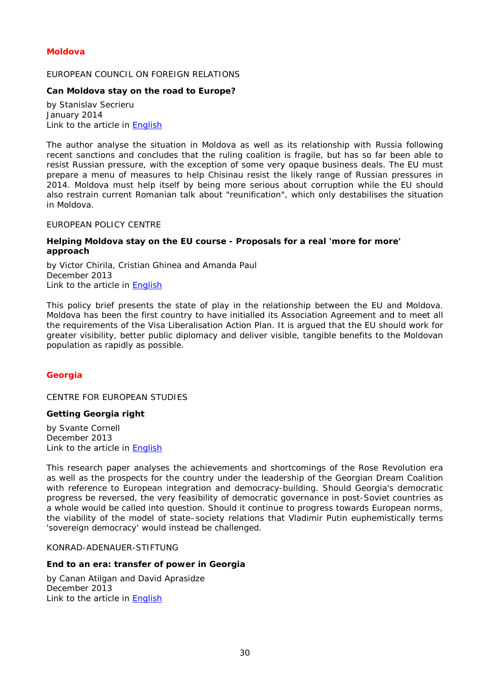# <span id="page-29-0"></span>*Moldova*

### <span id="page-29-1"></span>EUROPEAN COUNCIL ON FOREIGN RELATIONS

#### <span id="page-29-2"></span>**Can Moldova stay on the road to Europe?**

by Stanislav Secrieru January 2014 Link to the article in [English](http://ecfr.eu/page/-/ECFR93_MOLDOVA_MEMO_AW.pdf)

The author analyse the situation in Moldova as well as its relationship with Russia following recent sanctions and concludes that the ruling coalition is fragile, but has so far been able to resist Russian pressure, with the exception of some very opaque business deals. The EU must prepare a menu of measures to help Chisinau resist the likely range of Russian pressures in 2014. Moldova must help itself by being more serious about corruption while the EU should also restrain current Romanian talk about "reunification", which only destabilises the situation in Moldova.

#### <span id="page-29-3"></span>EUROPEAN POLICY CENTRE

#### <span id="page-29-4"></span>**Helping Moldova stay on the EU course - Proposals for a real 'more for more' approach**

by Victor Chirila, Cristian Ghinea and Amanda Paul December 2013 Link to the article in [English](http://www.epc.eu/documents/uploads/pub_4006_helping_moldova_stay_on_the_eu_course.pdf)

This policy brief presents the state of play in the relationship between the EU and Moldova. Moldova has been the first country to have initialled its Association Agreement and to meet all the requirements of the Visa Liberalisation Action Plan*.* It is argued that the EU should work for greater visibility, better public diplomacy and deliver visible, tangible benefits to the Moldovan population as rapidly as possible.

### <span id="page-29-6"></span><span id="page-29-5"></span>*Georgia*

CENTRE FOR EUROPEAN STUDIES

### <span id="page-29-7"></span>**Getting Georgia right**

by Svante Cornell December 2013 Link to the article in [English](http://thinkingeurope.eu/sites/default/files/publication-files/getting_georgia_right_-_website.pdf)

This research paper analyses the achievements and shortcomings of the Rose Revolution era as well as the prospects for the country under the leadership of the Georgian Dream Coalition with reference to European integration and democracy-building. Should Georgia's democratic progress be reversed, the very feasibility of democratic governance in post-Soviet countries as a whole would be called into question. Should it continue to progress towards European norms, the viability of the model of state–society relations that Vladimir Putin euphemistically terms 'sovereign democracy' would instead be challenged.

### <span id="page-29-8"></span>KONRAD-ADENAUER-STIFTUNG

#### <span id="page-29-9"></span>**End to an era: transfer of power in Georgia**

by Canan Atilgan and David Aprasidze December 2013 Link to the article in [English](http://www.kas.de/wf/doc/kas_36413-544-2-30.pdf)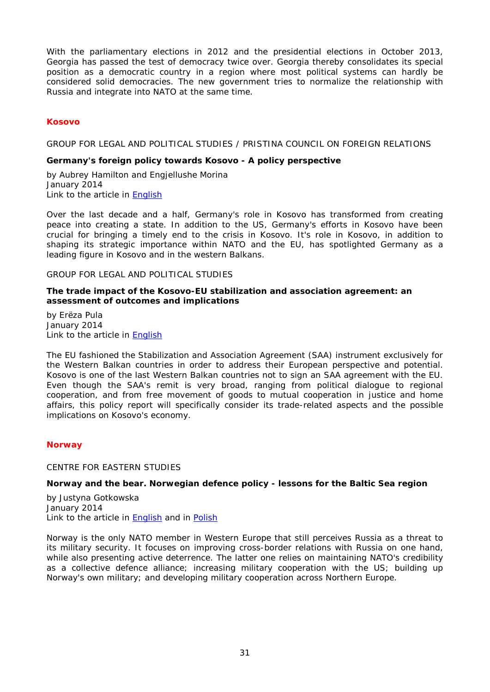With the parliamentary elections in 2012 and the presidential elections in October 2013, Georgia has passed the test of democracy twice over. Georgia thereby consolidates its special position as a democratic country in a region where most political systems can hardly be considered solid democracies. The new government tries to normalize the relationship with Russia and integrate into NATO at the same time.

# <span id="page-30-0"></span>*Kosovo*

<span id="page-30-1"></span>GROUP FOR LEGAL AND POLITICAL STUDIES / PRISTINA COUNCIL ON FOREIGN RELATIONS

#### <span id="page-30-2"></span>**Germany's foreign policy towards Kosovo - A policy perspective**

by Aubrey Hamilton and Engjellushe Morina January 2014 Link to the article in [English](http://legalpoliticalstudies.org/download/Policy%20Report%2002%202014.pdf)

Over the last decade and a half, Germany's role in Kosovo has transformed from creating peace into creating a state. In addition to the US, Germany's efforts in Kosovo have been crucial for bringing a timely end to the crisis in Kosovo. It's role in Kosovo, in addition to shaping its strategic importance within NATO and the EU, has spotlighted Germany as a leading figure in Kosovo and in the western Balkans.

<span id="page-30-3"></span>GROUP FOR LEGAL AND POLITICAL STUDIES

#### <span id="page-30-4"></span>**The trade impact of the Kosovo-EU stabilization and association agreement: an assessment of outcomes and implications**

by Erëza Pula January 2014 Link to the article in **English** 

The EU fashioned the Stabilization and Association Agreement (SAA) instrument exclusively for the Western Balkan countries in order to address their European perspective and potential. Kosovo is one of the last Western Balkan countries not to sign an SAA agreement with the EU. Even though the SAA's remit is very broad, ranging from political dialogue to regional cooperation, and from free movement of goods to mutual cooperation in justice and home affairs, this policy report will specifically consider its trade-related aspects and the possible implications on Kosovo's economy.

### <span id="page-30-6"></span><span id="page-30-5"></span>*Norway*

CENTRE FOR EASTERN STUDIES

### <span id="page-30-7"></span>**Norway and the bear. Norwegian defence policy - lessons for the Baltic Sea region**

by Justyna Gotkowska January 2014 Link to the article in [English](http://www.osw.waw.pl/sites/default/files/pw_38_norwegia_ang_net_0.pdf) and in [Polish](http://www.osw.waw.pl/sites/default/files/pw_38_norwegia_pl_net_0.pdf)

Norway is the only NATO member in Western Europe that still perceives Russia as a threat to its military security. It focuses on improving cross-border relations with Russia on one hand, while also presenting active deterrence. The latter one relies on maintaining NATO's credibility as a collective defence alliance; increasing military cooperation with the US; building up Norway's own military; and developing military cooperation across Northern Europe.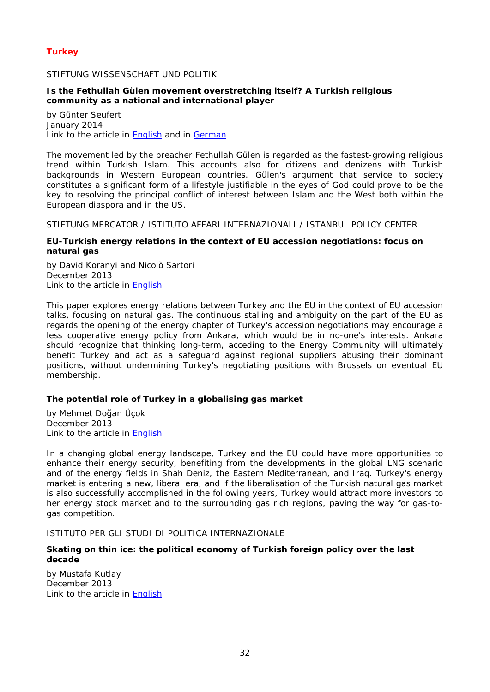# <span id="page-31-0"></span>*Turkey*

### <span id="page-31-1"></span>STIFTUNG WISSENSCHAFT UND POLITIK

### <span id="page-31-2"></span>**Is the Fethullah Gülen movement overstretching itself? A Turkish religious community as a national and international player**

by Günter Seufert January 2014 Link to the article in **English** and in **German** 

The movement led by the preacher Fethullah Gülen is regarded as the fastest-growing religious trend within Turkish Islam. This accounts also for citizens and denizens with Turkish backgrounds in Western European countries. Gülen's argument that service to society constitutes a significant form of a lifestyle justifiable in the eyes of God could prove to be the key to resolving the principal conflict of interest between Islam and the West both within the European diaspora and in the US.

<span id="page-31-3"></span>STIFTUNG MERCATOR / ISTITUTO AFFARI INTERNAZIONALI / ISTANBUL POLICY CENTER

### <span id="page-31-4"></span>**EU-Turkish energy relations in the context of EU accession negotiations: focus on natural gas**

by David Koranyi and Nicolò Sartori December 2013 Link to the article in [English](http://www.iai.it/pdf/GTE/GTE_WP_05.pdf)

This paper explores energy relations between Turkey and the EU in the context of EU accession talks, focusing on natural gas. The continuous stalling and ambiguity on the part of the EU as regards the opening of the energy chapter of Turkey's accession negotiations may encourage a less cooperative energy policy from Ankara, which would be in no-one's interests. Ankara should recognize that thinking long-term, acceding to the Energy Community will ultimately benefit Turkey and act as a safeguard against regional suppliers abusing their dominant positions, without undermining Turkey's negotiating positions with Brussels on eventual EU membership.

# <span id="page-31-5"></span>**The potential role of Turkey in a globalising gas market**

by Mehmet Doğan Üçok December 2013 Link to the article in [English](http://www.iai.it/pdf/GTE/GTE_PB_09.pdf)

In a changing global energy landscape, Turkey and the EU could have more opportunities to enhance their energy security, benefiting from the developments in the global LNG scenario and of the energy fields in Shah Deniz, the Eastern Mediterranean, and Iraq. Turkey's energy market is entering a new, liberal era, and if the liberalisation of the Turkish natural gas market is also successfully accomplished in the following years, Turkey would attract more investors to her energy stock market and to the surrounding gas rich regions, paving the way for gas-togas competition.

### <span id="page-31-6"></span>ISTITUTO PER GLI STUDI DI POLITICA INTERNAZIONALE

# <span id="page-31-7"></span>**Skating on thin ice: the political economy of Turkish foreign policy over the last decade**

by Mustafa Kutlay December 2013 Link to the article in [English](http://www.ispionline.it/sites/default/files/pubblicazioni/analysis_226_2013.pdf)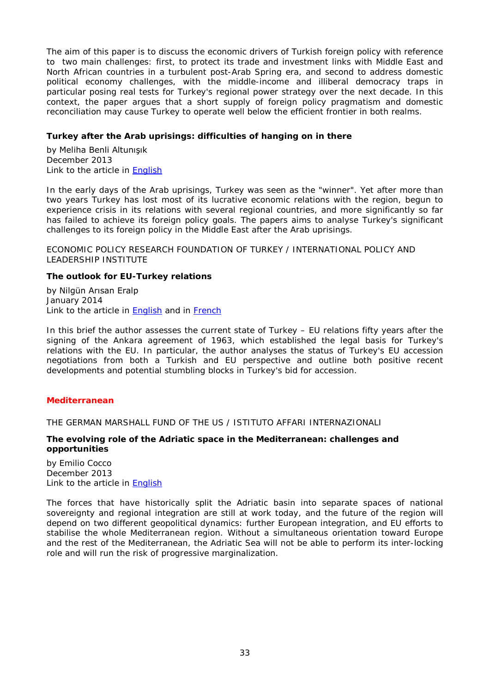The aim of this paper is to discuss the economic drivers of Turkish foreign policy with reference to two main challenges: first, to protect its trade and investment links with Middle East and North African countries in a turbulent post-Arab Spring era, and second to address domestic political economy challenges, with the middle-income and illiberal democracy traps in particular posing real tests for Turkey's regional power strategy over the next decade. In this context, the paper argues that a short supply of foreign policy pragmatism and domestic reconciliation may cause Turkey to operate well below the efficient frontier in both realms.

### <span id="page-32-0"></span>**Turkey after the Arab uprisings: difficulties of hanging on in there**

by Meliha Benli Altunışık December 2013 Link to the article in [English](http://www.ispionline.it/sites/default/files/pubblicazioni/analysis_223_2013_0.pdf)

In the early days of the Arab uprisings, Turkey was seen as the "winner". Yet after more than two years Turkey has lost most of its lucrative economic relations with the region, begun to experience crisis in its relations with several regional countries, and more significantly so far has failed to achieve its foreign policy goals. The papers aims to analyse Turkey's significant challenges to its foreign policy in the Middle East after the Arab uprisings.

<span id="page-32-1"></span>ECONOMIC POLICY RESEARCH FOUNDATION OF TURKEY / INTERNATIONAL POLICY AND LEADERSHIP INSTITUTE

# <span id="page-32-2"></span>**The outlook for EU-Turkey relations**

by Nilgün Arısan Eralp January 2014 Link to the article in [English](http://www.tepav.org.tr/upload/files/1390554733-6.The_Outlook_for_EU_Turkey_Relations.pdf) and in [French](http://www.tepav.org.tr/upload/files/haber/1390555262-3.Quelles_Perspectives_pour_la_Relation_Turquie_UE.pdf)

In this brief the author assesses the current state of Turkey – EU relations fifty years after the signing of the Ankara agreement of 1963, which established the legal basis for Turkey's relations with the EU. In particular, the author analyses the status of Turkey's EU accession negotiations from both a Turkish and EU perspective and outline both positive recent developments and potential stumbling blocks in Turkey's bid for accession.

# <span id="page-32-3"></span>*Mediterranean*

<span id="page-32-4"></span>THE GERMAN MARSHALL FUND OF THE US / ISTITUTO AFFARI INTERNAZIONALI

### <span id="page-32-5"></span>**The evolving role of the Adriatic space in the Mediterranean: challenges and opportunities**

by Emilio Cocco December 2013 Link to the article in [English](http://www.gmfus.org/wp-content/blogs.dir/1/files_mf/1386086517Cocco_AdriaticSpace_Nov13_web.pdf)

The forces that have historically split the Adriatic basin into separate spaces of national sovereignty and regional integration are still at work today, and the future of the region will depend on two different geopolitical dynamics: further European integration, and EU efforts to stabilise the whole Mediterranean region. Without a simultaneous orientation toward Europe and the rest of the Mediterranean, the Adriatic Sea will not be able to perform its inter-locking role and will run the risk of progressive marginalization.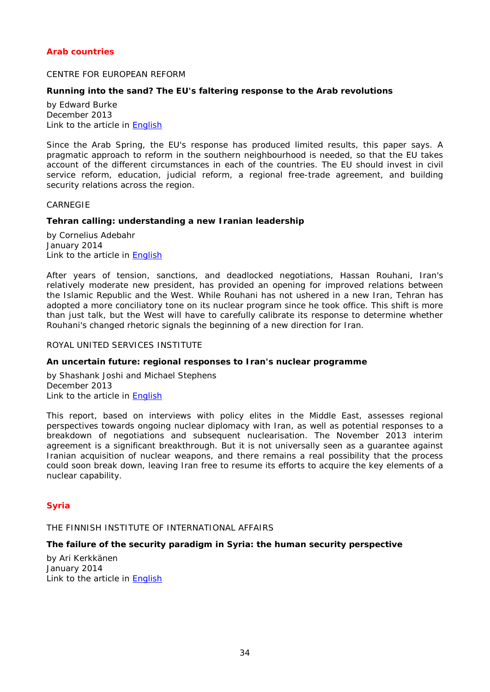# <span id="page-33-0"></span>*Arab countries*

#### <span id="page-33-1"></span>CENTRE FOR EUROPEAN REFORM

### <span id="page-33-2"></span>**Running into the sand? The EU's faltering response to the Arab revolutions**

by Edward Burke December 2013 Link to the article in [English](http://www.cer.org.uk/sites/default/files/publications/attachments/pdf/2013/esy_eb_arab_18dec13-8216.pdf)

Since the Arab Spring, the EU's response has produced limited results, this paper says. A pragmatic approach to reform in the southern neighbourhood is needed, so that the EU takes account of the different circumstances in each of the countries. The EU should invest in civil service reform, education, judicial reform, a regional free-trade agreement, and building security relations across the region.

#### <span id="page-33-3"></span>CARNEGIE

#### <span id="page-33-4"></span>**Tehran calling: understanding a new Iranian leadership**

by Cornelius Adebahr January 2014 Link to the article in **English** 

After years of tension, sanctions, and deadlocked negotiations, Hassan Rouhani, Iran's relatively moderate new president, has provided an opening for improved relations between the Islamic Republic and the West. While Rouhani has not ushered in a new Iran, Tehran has adopted a more conciliatory tone on its nuclear program since he took office. This shift is more than just talk, but the West will have to carefully calibrate its response to determine whether Rouhani's changed rhetoric signals the beginning of a new direction for Iran.

### <span id="page-33-5"></span>ROYAL UNITED SERVICES INSTITUTE

#### <span id="page-33-6"></span>**An uncertain future: regional responses to Iran's nuclear programme**

by Shashank Joshi and Michael Stephens December 2013 Link to the article in **English** 

This report, based on interviews with policy elites in the Middle East, assesses regional perspectives towards ongoing nuclear diplomacy with Iran, as well as potential responses to a breakdown of negotiations and subsequent nuclearisation. The November 2013 interim agreement is a significant breakthrough. But it is not universally seen as a guarantee against Iranian acquisition of nuclear weapons, and there remains a real possibility that the process could soon break down, leaving Iran free to resume its efforts to acquire the key elements of a nuclear capability.

### <span id="page-33-7"></span>*Syria*

<span id="page-33-8"></span>THE FINNISH INSTITUTE OF INTERNATIONAL AFFAIRS

# <span id="page-33-9"></span>**The failure of the security paradigm in Syria: the human security perspective**

by Ari Kerkkänen January 2014 Link to the article in [English](http://www.fiia.fi/assets/publications/wp79.pdf)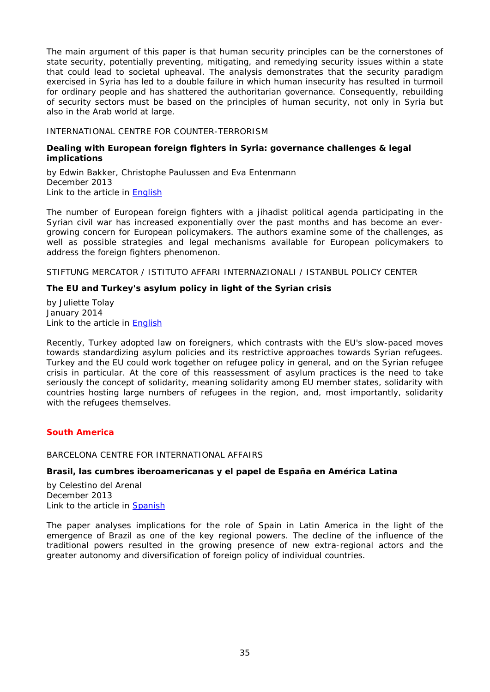The main argument of this paper is that human security principles can be the cornerstones of state security, potentially preventing, mitigating, and remedying security issues within a state that could lead to societal upheaval. The analysis demonstrates that the security paradigm exercised in Syria has led to a double failure in which human insecurity has resulted in turmoil for ordinary people and has shattered the authoritarian governance. Consequently, rebuilding of security sectors must be based on the principles of human security, not only in Syria but also in the Arab world at large.

### <span id="page-34-0"></span>INTERNATIONAL CENTRE FOR COUNTER-TERRORISM

### <span id="page-34-1"></span>**Dealing with European foreign fighters in Syria: governance challenges & legal implications**

by Edwin Bakker, Christophe Paulussen and Eva Entenmann December 2013 Link to the article in **English** 

The number of European foreign fighters with a jihadist political agenda participating in the Syrian civil war has increased exponentially over the past months and has become an evergrowing concern for European policymakers. The authors examine some of the challenges, as well as possible strategies and legal mechanisms available for European policymakers to address the foreign fighters phenomenon.

<span id="page-34-2"></span>STIFTUNG MERCATOR / ISTITUTO AFFARI INTERNAZIONALI / ISTANBUL POLICY CENTER

# <span id="page-34-3"></span>**The EU and Turkey's asylum policy in light of the Syrian crisis**

by Juliette Tolay January 2014 Link to the article in [English](http://www.iai.it/pdf/GTE/GTE_PB_10.pdf)

Recently, Turkey adopted law on foreigners, which contrasts with the EU's slow-paced moves towards standardizing asylum policies and its restrictive approaches towards Syrian refugees. Turkey and the EU could work together on refugee policy in general, and on the Syrian refugee crisis in particular. At the core of this reassessment of asylum practices is the need to take seriously the concept of solidarity, meaning solidarity among EU member states, solidarity with countries hosting large numbers of refugees in the region, and, most importantly, solidarity with the refugees themselves.

### <span id="page-34-4"></span>*South America*

### <span id="page-34-5"></span>BARCELONA CENTRE FOR INTERNATIONAL AFFAIRS

# <span id="page-34-6"></span>**Brasil, las cumbres iberoamericanas y el papel de España en América Latina**

by Celestino del Arenal December 2013 Link to the article in [Spanish](http://www.cidob.org/en/content/download/37956/592652/file/DOCUMENTOS_WEB_AMERICA+LATINA_39_DEL+ARENAL+DEF.pdf)

The paper analyses implications for the role of Spain in Latin America in the light of the emergence of Brazil as one of the key regional powers. The decline of the influence of the traditional powers resulted in the growing presence of new extra-regional actors and the greater autonomy and diversification of foreign policy of individual countries.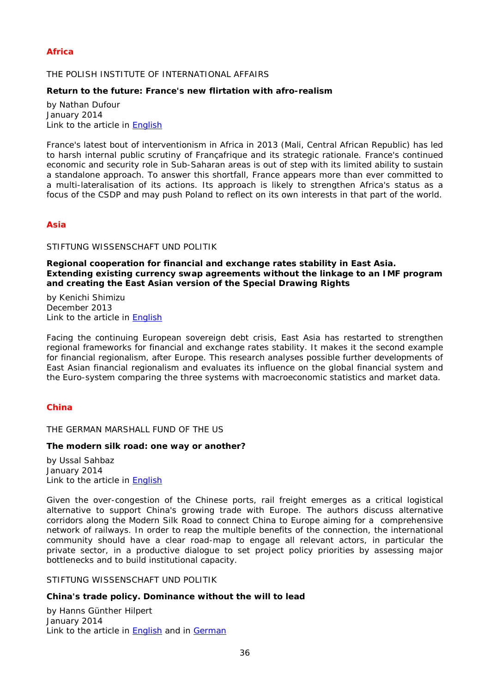# <span id="page-35-0"></span>*Africa*

### <span id="page-35-1"></span>THE POLISH INSTITUTE OF INTERNATIONAL AFFAIRS

#### <span id="page-35-2"></span>**Return to the future: France's new flirtation with afro-realism**

by Nathan Dufour January 2014 Link to the article in [English](http://www.pism.pl/files/?id_plik=16164)

France's latest bout of interventionism in Africa in 2013 (Mali, Central African Republic) has led to harsh internal public scrutiny of Françafrique and its strategic rationale. France's continued economic and security role in Sub-Saharan areas is out of step with its limited ability to sustain a standalone approach. To answer this shortfall, France appears more than ever committed to a multi-lateralisation of its actions. Its approach is likely to strengthen Africa's status as a focus of the CSDP and may push Poland to reflect on its own interests in that part of the world.

# <span id="page-35-3"></span>*Asia*

### <span id="page-35-4"></span>STIFTUNG WISSENSCHAFT UND POLITIK

<span id="page-35-5"></span>**Regional cooperation for financial and exchange rates stability in East Asia. Extending existing currency swap agreements without the linkage to an IMF program and creating the East Asian version of the Special Drawing Rights**

by Kenichi Shimizu December 2013 Link to the article in [English](http://www.swp-berlin.org/fileadmin/contents/products/arbeitspapiere/WP_FG7_2013_01_Dezember_Kenichi_Shimizu.pdf)

Facing the continuing European sovereign debt crisis, East Asia has restarted to strengthen regional frameworks for financial and exchange rates stability. It makes it the second example for financial regionalism, after Europe. This research analyses possible further developments of East Asian financial regionalism and evaluates its influence on the global financial system and the Euro-system comparing the three systems with macroeconomic statistics and market data.

### <span id="page-35-7"></span><span id="page-35-6"></span>*China*

THE GERMAN MARSHALL FUND OF THE US

#### <span id="page-35-8"></span>**The modern silk road: one way or another?**

by Ussal Sahbaz January 2014 Link to the article in [English](http://www.gmfus.org/wp-content/blogs.dir/1/files_mf/1390849844Sahbaz_ModernSilkRoad_Jan14.pdf)

Given the over-congestion of the Chinese ports, rail freight emerges as a critical logistical alternative to support China's growing trade with Europe. The authors discuss alternative corridors along the Modern Silk Road to connect China to Europe aiming for a comprehensive network of railways. In order to reap the multiple benefits of the connection, the international community should have a clear road-map to engage all relevant actors, in particular the private sector, in a productive dialogue to set project policy priorities by assessing major bottlenecks and to build institutional capacity.

### <span id="page-35-9"></span>STIFTUNG WISSENSCHAFT UND POLITIK

### <span id="page-35-10"></span>**China's trade policy. Dominance without the will to lead**

by Hanns Günther Hilpert January 2014 Link to the article in [English](http://www.swp-berlin.org/fileadmin/contents/products/research_papers/2014_RP01_hlp.pdf) and in [German](http://www.swp-berlin.org/fileadmin/contents/products/studien/2013_S22_hlp.pdf)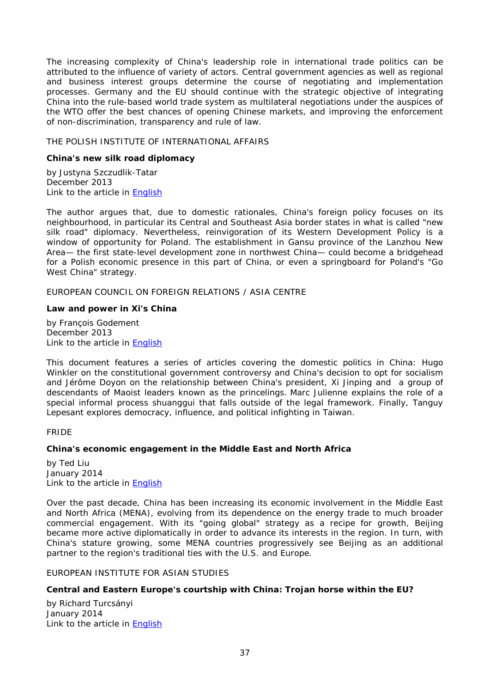The increasing complexity of China's leadership role in international trade politics can be attributed to the influence of variety of actors. Central government agencies as well as regional and business interest groups determine the course of negotiating and implementation processes. Germany and the EU should continue with the strategic objective of integrating China into the rule-based world trade system as multilateral negotiations under the auspices of the WTO offer the best chances of opening Chinese markets, and improving the enforcement of non-discrimination, transparency and rule of law.

### <span id="page-36-0"></span>THE POLISH INSTITUTE OF INTERNATIONAL AFFAIRS

#### <span id="page-36-1"></span>**China's new silk road diplomacy**

by Justyna Szczudlik-Tatar December 2013 Link to the article in [English](http://www.pism.pl/files/?id_plik=15818)

The author argues that, due to domestic rationales, China's foreign policy focuses on its neighbourhood, in particular its Central and Southeast Asia border states in what is called "new silk road" diplomacy. Nevertheless, reinvigoration of its Western Development Policy is a window of opportunity for Poland. The establishment in Gansu province of the Lanzhou New Area— the first state-level development zone in northwest China— could become a bridgehead for a Polish economic presence in this part of China, or even a springboard for Poland's "Go West China" strategy.

<span id="page-36-2"></span>EUROPEAN COUNCIL ON FOREIGN RELATIONS / ASIA CENTRE

#### <span id="page-36-3"></span>**Law and power in Xi's China**

by François Godement December 2013 Link to the article in [English](http://ecfr.eu/page/-/China_Analysis_Law_and_Power_in_Xis_China_December2013.pdf)

This document features a series of articles covering the domestic politics in China: Hugo Winkler on the constitutional government controversy and China's decision to opt for socialism and Jérôme Doyon on the relationship between China's president, Xi Jinping and a group of descendants of Maoist leaders known as the *princelings.* Marc Julienne explains the role of a special informal process *shuanggui* that falls outside of the legal framework. Finally, Tanguy Lepesant explores democracy, influence, and political infighting in Taiwan.

#### <span id="page-36-4"></span>FRIDE

### <span id="page-36-5"></span>**China's economic engagement in the Middle East and North Africa**

by Ted Liu January 2014 Link to the article in [English](http://www.fride.org/download/PB_173_China_economic_engagement_in_MENA.pdf)

Over the past decade, China has been increasing its economic involvement in the Middle East and North Africa (MENA), evolving from its dependence on the energy trade to much broader commercial engagement. With its "going global" strategy as a recipe for growth, Beijing became more active diplomatically in order to advance its interests in the region. In turn, with China's stature growing, some MENA countries progressively see Beijing as an additional partner to the region's traditional ties with the U.S. and Europe.

### <span id="page-36-6"></span>EUROPEAN INSTITUTE FOR ASIAN STUDIES

### <span id="page-36-7"></span>**Central and Eastern Europe's courtship with China: Trojan horse within the EU?**

by Richard Turcsányi January 2014 Link to the article in **English**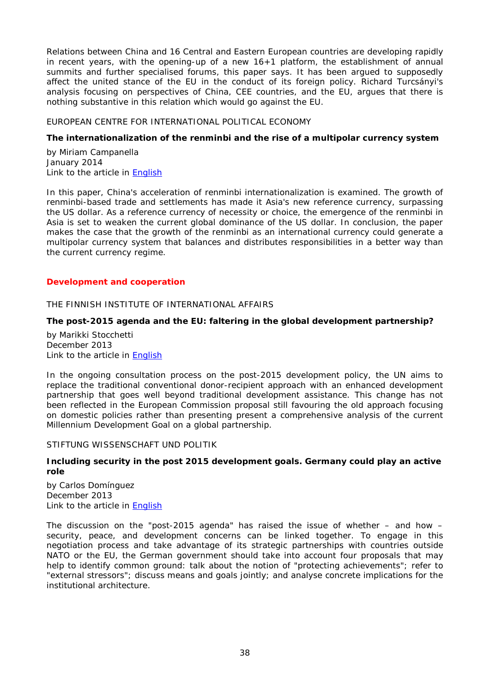Relations between China and 16 Central and Eastern European countries are developing rapidly in recent years, with the opening-up of a new 16+1 platform, the establishment of annual summits and further specialised forums, this paper says. It has been argued to supposedly affect the united stance of the EU in the conduct of its foreign policy. Richard Turcsányi's analysis focusing on perspectives of China, CEE countries, and the EU, argues that there is nothing substantive in this relation which would go against the EU.

### <span id="page-37-0"></span>EUROPEAN CENTRE FOR INTERNATIONAL POLITICAL ECONOMY

### <span id="page-37-1"></span>**The internationalization of the renminbi and the rise of a multipolar currency system**

by Miriam Campanella January 2014 Link to the article in **English** 

In this paper, China's acceleration of renminbi internationalization is examined. The growth of renminbi-based trade and settlements has made it Asia's new reference currency, surpassing the US dollar. As a reference currency of necessity or choice, the emergence of the renminbi in Asia is set to weaken the current global dominance of the US dollar. In conclusion, the paper makes the case that the growth of the renminbi as an international currency could generate a multipolar currency system that balances and distributes responsibilities in a better way than the current currency regime.

#### <span id="page-37-2"></span>*Development and cooperation*

#### <span id="page-37-3"></span>THE FINNISH INSTITUTE OF INTERNATIONAL AFFAIRS

# <span id="page-37-4"></span>**The post-2015 agenda and the EU: faltering in the global development partnership?**

by Marikki Stocchetti December 2013 Link to the article in [English](http://www.fiia.fi/assets/publications/bp147.pdf)

In the ongoing consultation process on the post-2015 development policy, the UN aims to replace the traditional conventional donor-recipient approach with an enhanced development partnership that goes well beyond traditional development assistance. This change has not been reflected in the European Commission proposal still favouring the old approach focusing on domestic policies rather than presenting present a comprehensive analysis of the current Millennium Development Goal on a global partnership.

#### <span id="page-37-5"></span>STIFTUNG WISSENSCHAFT UND POLITIK

#### <span id="page-37-6"></span>**Including security in the post 2015 development goals. Germany could play an active role**

by Carlos Domínguez December 2013 Link to the article in [English](http://www.swp-berlin.org/fileadmin/contents/products/comments/2013C39_doz.pdf)

The discussion on the "post-2015 agenda" has raised the issue of whether – and how – security, peace, and development concerns can be linked together. To engage in this negotiation process and take advantage of its strategic partnerships with countries outside NATO or the EU, the German government should take into account four proposals that may help to identify common ground: talk about the notion of "protecting achievements"; refer to "external stressors"; discuss means and goals jointly; and analyse concrete implications for the institutional architecture.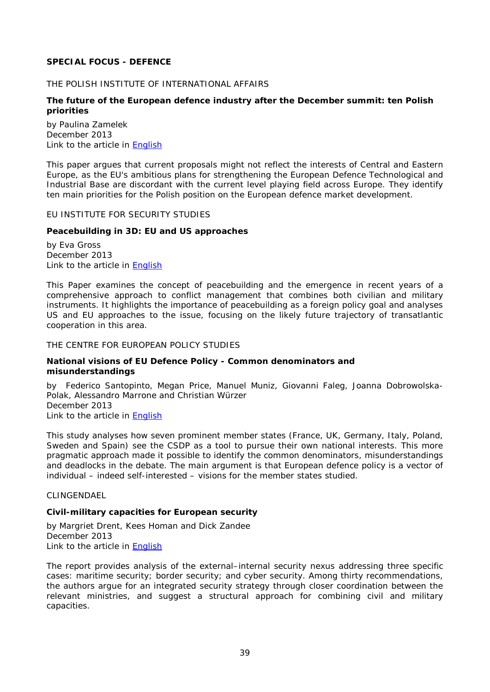# <span id="page-38-0"></span>**SPECIAL FOCUS - DEFENCE**

#### <span id="page-38-1"></span>THE POLISH INSTITUTE OF INTERNATIONAL AFFAIRS

### <span id="page-38-2"></span>**The future of the European defence industry after the December summit: ten Polish priorities**

by Paulina Zamelek December 2013 Link to the article in [English](http://www.pism.pl/files/?id_plik=15951)

This paper argues that current proposals might not reflect the interests of Central and Eastern Europe, as the EU's ambitious plans for strengthening the European Defence Technological and Industrial Base are discordant with the current level playing field across Europe. They identify ten main priorities for the Polish position on the European defence market development.

#### <span id="page-38-3"></span>EU INSTITUTE FOR SECURITY STUDIES

### <span id="page-38-4"></span>**Peacebuilding in 3D: EU and US approaches**

by Eva Gross December 2013 Link to the article in [English](http://www.iss.europa.eu/uploads/media/ChaillotPaper130_Peacebuilding.pdf)

This Paper examines the concept of peacebuilding and the emergence in recent years of a comprehensive approach to conflict management that combines both civilian and military instruments. It highlights the importance of peacebuilding as a foreign policy goal and analyses US and EU approaches to the issue, focusing on the likely future trajectory of transatlantic cooperation in this area.

#### <span id="page-38-5"></span>THE CENTRE FOR EUROPEAN POLICY STUDIES

#### <span id="page-38-6"></span>**National visions of EU Defence Policy - Common denominators and misunderstandings**

by Federico Santopinto, Megan Price, Manuel Muniz, Giovanni Faleg, Joanna Dobrowolska-Polak, Alessandro Marrone and Christian Würzer December 2013 Link to the article in [English](http://www.ceps.be/ceps/dld/8706/pdf)

This study analyses how seven prominent member states (France, UK, Germany, Italy, Poland, Sweden and Spain) see the CSDP as a tool to pursue their own national interests. This more pragmatic approach made it possible to identify the common denominators, misunderstandings and deadlocks in the debate. The main argument is that European defence policy is a vector of individual – indeed self-interested – visions for the member states studied.

#### <span id="page-38-7"></span>CLINGENDAEL

# <span id="page-38-8"></span>**Civil-military capacities for European security**

by Margriet Drent, Kees Homan and Dick Zandee December 2013 Link to the article in **English** 

The report provides analysis of the external–internal security nexus addressing three specific cases: maritime security; border security; and cyber security. Among thirty recommendations, the authors argue for an integrated security strategy through closer coordination between the relevant ministries, and suggest a structural approach for combining civil and military capacities.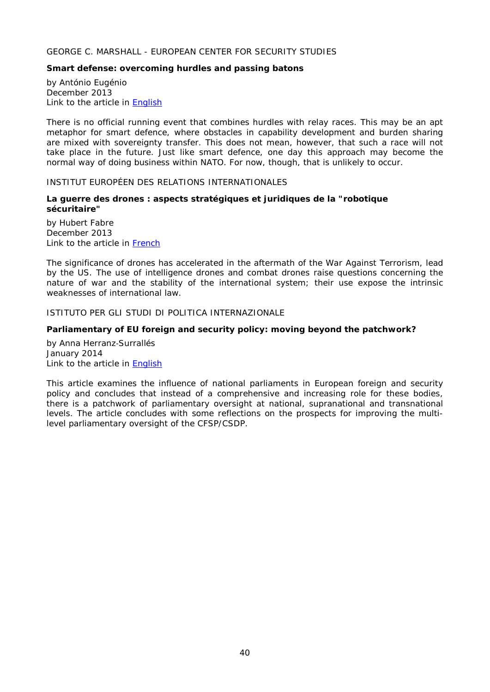# <span id="page-39-0"></span>GEORGE C. MARSHALL - EUROPEAN CENTER FOR SECURITY STUDIES

### <span id="page-39-1"></span>**Smart defense: overcoming hurdles and passing batons**

by António Eugénio December 2013 Link to the article in [English](http://www.marshallcenter.org/mcpublicweb/MCDocs/files/College/F_Publications/occPapers/occ-paper_25-en.pdf)

There is no official running event that combines hurdles with relay races. This may be an apt metaphor for smart defence, where obstacles in capability development and burden sharing are mixed with sovereignty transfer. This does not mean, however, that such a race will not take place in the future. Just like smart defence, one day this approach may become the normal way of doing business within NATO. For now, though, that is unlikely to occur.

#### <span id="page-39-2"></span>INSTITUT EUROPÉEN DES RELATIONS INTERNATIONALES

### <span id="page-39-3"></span>**La guerre des drones : aspects stratégiques et juridiques de la "robotique sécuritaire"**

by Hubert Fabre December 2013 Link to the article in [French](http://www.ieri.be/sites/default/files/filefield/news/IERI%20WP18-Guerre%20des%20drones%20HF-12-2013%20V2.pdf)

The significance of drones has accelerated in the aftermath of the War Against Terrorism, lead by the US. The use of intelligence drones and combat drones raise questions concerning the nature of war and the stability of the international system; their use expose the intrinsic weaknesses of international law.

# <span id="page-39-4"></span>ISTITUTO PER GLI STUDI DI POLITICA INTERNAZIONALE

#### <span id="page-39-5"></span>**Parliamentary of EU foreign and security policy: moving beyond the patchwork?**

by Anna Herranz‐Surrallés January 2014 Link to the article in [English](http://www.ispionline.it/sites/default/files/pubblicazioni/analysis_230_2013.pdf)

This article examines the influence of national parliaments in European foreign and security policy and concludes that instead of a comprehensive and increasing role for these bodies, there is a patchwork of parliamentary oversight at national, supranational and transnational levels. The article concludes with some reflections on the prospects for improving the multilevel parliamentary oversight of the CFSP/CSDP.